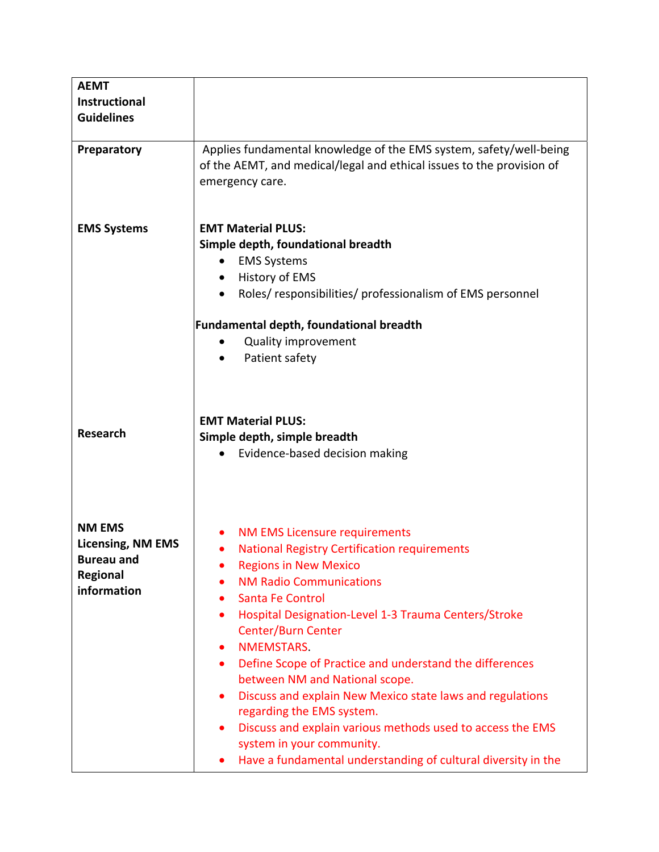| <b>AEMT</b><br><b>Instructional</b><br><b>Guidelines</b>                                         |                                                                                                                                                                                                                                                                                                                                                                                                                                                                                                                                                                                                                                                                                                                       |
|--------------------------------------------------------------------------------------------------|-----------------------------------------------------------------------------------------------------------------------------------------------------------------------------------------------------------------------------------------------------------------------------------------------------------------------------------------------------------------------------------------------------------------------------------------------------------------------------------------------------------------------------------------------------------------------------------------------------------------------------------------------------------------------------------------------------------------------|
| Preparatory                                                                                      | Applies fundamental knowledge of the EMS system, safety/well-being<br>of the AEMT, and medical/legal and ethical issues to the provision of<br>emergency care.                                                                                                                                                                                                                                                                                                                                                                                                                                                                                                                                                        |
| <b>EMS Systems</b>                                                                               | <b>EMT Material PLUS:</b><br>Simple depth, foundational breadth<br><b>EMS Systems</b><br>History of EMS<br>Roles/responsibilities/professionalism of EMS personnel<br><b>Fundamental depth, foundational breadth</b><br><b>Quality improvement</b><br>Patient safety<br>٠                                                                                                                                                                                                                                                                                                                                                                                                                                             |
| <b>Research</b>                                                                                  | <b>EMT Material PLUS:</b><br>Simple depth, simple breadth<br>Evidence-based decision making<br>$\bullet$                                                                                                                                                                                                                                                                                                                                                                                                                                                                                                                                                                                                              |
| <b>NM EMS</b><br><b>Licensing, NM EMS</b><br><b>Bureau and</b><br><b>Regional</b><br>information | <b>NM EMS Licensure requirements</b><br><b>National Registry Certification requirements</b><br>$\bullet$<br><b>Regions in New Mexico</b><br><b>NM Radio Communications</b><br>Santa Fe Control<br>Hospital Designation-Level 1-3 Trauma Centers/Stroke<br>$\bullet$<br><b>Center/Burn Center</b><br>NMEMSTARS.<br>$\bullet$<br>Define Scope of Practice and understand the differences<br>$\bullet$<br>between NM and National scope.<br>Discuss and explain New Mexico state laws and regulations<br>$\bullet$<br>regarding the EMS system.<br>Discuss and explain various methods used to access the EMS<br>$\bullet$<br>system in your community.<br>Have a fundamental understanding of cultural diversity in the |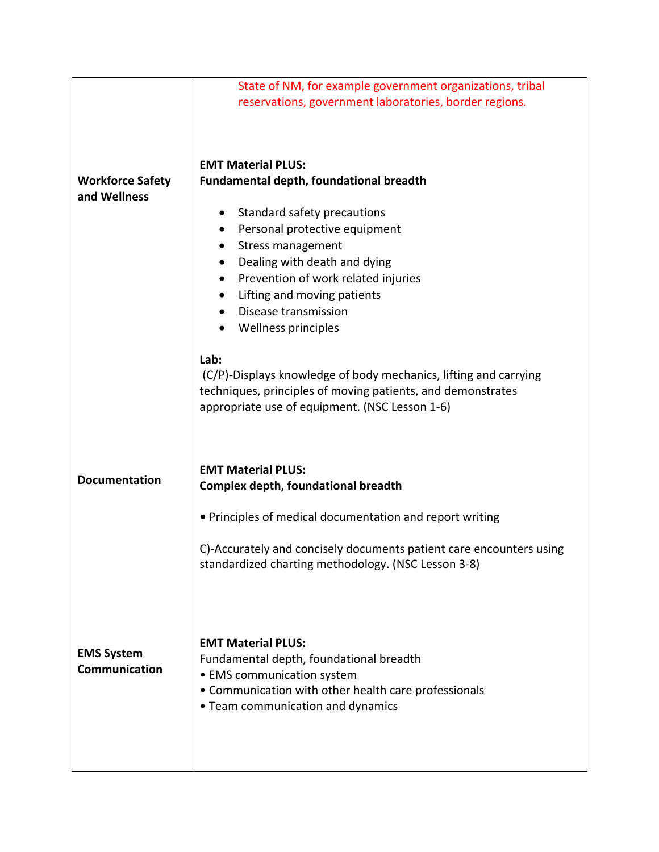|                                    | State of NM, for example government organizations, tribal<br>reservations, government laboratories, border regions.                                        |
|------------------------------------|------------------------------------------------------------------------------------------------------------------------------------------------------------|
|                                    |                                                                                                                                                            |
|                                    | <b>EMT Material PLUS:</b>                                                                                                                                  |
| <b>Workforce Safety</b>            | <b>Fundamental depth, foundational breadth</b>                                                                                                             |
| and Wellness                       |                                                                                                                                                            |
|                                    | Standard safety precautions                                                                                                                                |
|                                    | Personal protective equipment                                                                                                                              |
|                                    | Stress management                                                                                                                                          |
|                                    | Dealing with death and dying                                                                                                                               |
|                                    | Prevention of work related injuries<br>٠                                                                                                                   |
|                                    | Lifting and moving patients<br>٠                                                                                                                           |
|                                    | Disease transmission<br>$\bullet$                                                                                                                          |
|                                    | Wellness principles                                                                                                                                        |
|                                    | Lab:                                                                                                                                                       |
|                                    | (C/P)-Displays knowledge of body mechanics, lifting and carrying                                                                                           |
|                                    | techniques, principles of moving patients, and demonstrates                                                                                                |
|                                    | appropriate use of equipment. (NSC Lesson 1-6)                                                                                                             |
|                                    |                                                                                                                                                            |
| <b>Documentation</b>               | <b>EMT Material PLUS:</b>                                                                                                                                  |
|                                    | <b>Complex depth, foundational breadth</b>                                                                                                                 |
|                                    | • Principles of medical documentation and report writing                                                                                                   |
|                                    | C)-Accurately and concisely documents patient care encounters using<br>standardized charting methodology. (NSC Lesson 3-8)                                 |
| <b>EMS System</b><br>Communication | <b>EMT Material PLUS:</b><br>Fundamental depth, foundational breadth<br>• EMS communication system<br>• Communication with other health care professionals |
|                                    | • Team communication and dynamics                                                                                                                          |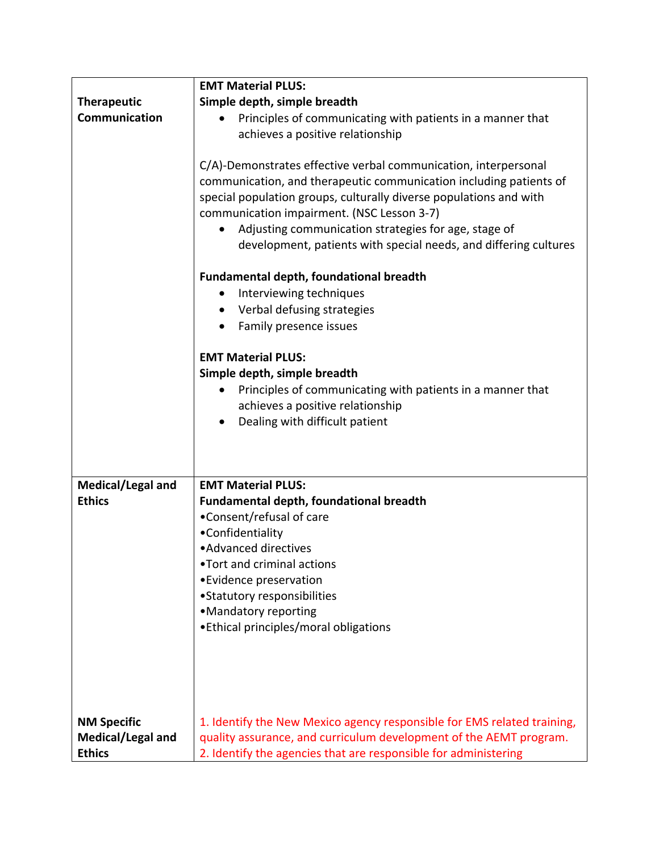|                    | <b>EMT Material PLUS:</b>                                               |
|--------------------|-------------------------------------------------------------------------|
| <b>Therapeutic</b> | Simple depth, simple breadth                                            |
| Communication      | Principles of communicating with patients in a manner that              |
|                    | achieves a positive relationship                                        |
|                    |                                                                         |
|                    | C/A)-Demonstrates effective verbal communication, interpersonal         |
|                    | communication, and therapeutic communication including patients of      |
|                    | special population groups, culturally diverse populations and with      |
|                    | communication impairment. (NSC Lesson 3-7)                              |
|                    | Adjusting communication strategies for age, stage of                    |
|                    | development, patients with special needs, and differing cultures        |
|                    | Fundamental depth, foundational breadth                                 |
|                    | Interviewing techniques                                                 |
|                    | Verbal defusing strategies                                              |
|                    | Family presence issues                                                  |
|                    | <b>EMT Material PLUS:</b>                                               |
|                    | Simple depth, simple breadth                                            |
|                    | Principles of communicating with patients in a manner that              |
|                    | achieves a positive relationship                                        |
|                    | Dealing with difficult patient                                          |
|                    |                                                                         |
|                    |                                                                         |
| Medical/Legal and  | <b>EMT Material PLUS:</b>                                               |
| <b>Ethics</b>      | <b>Fundamental depth, foundational breadth</b>                          |
|                    | •Consent/refusal of care                                                |
|                    | •Confidentiality                                                        |
|                    | • Advanced directives                                                   |
|                    | •Tort and criminal actions                                              |
|                    | • Evidence preservation                                                 |
|                    | •Statutory responsibilities                                             |
|                    | • Mandatory reporting                                                   |
|                    | • Ethical principles/moral obligations                                  |
|                    |                                                                         |
|                    |                                                                         |
|                    |                                                                         |
|                    |                                                                         |
| <b>NM Specific</b> | 1. Identify the New Mexico agency responsible for EMS related training, |
| Medical/Legal and  | quality assurance, and curriculum development of the AEMT program.      |
| <b>Ethics</b>      | 2. Identify the agencies that are responsible for administering         |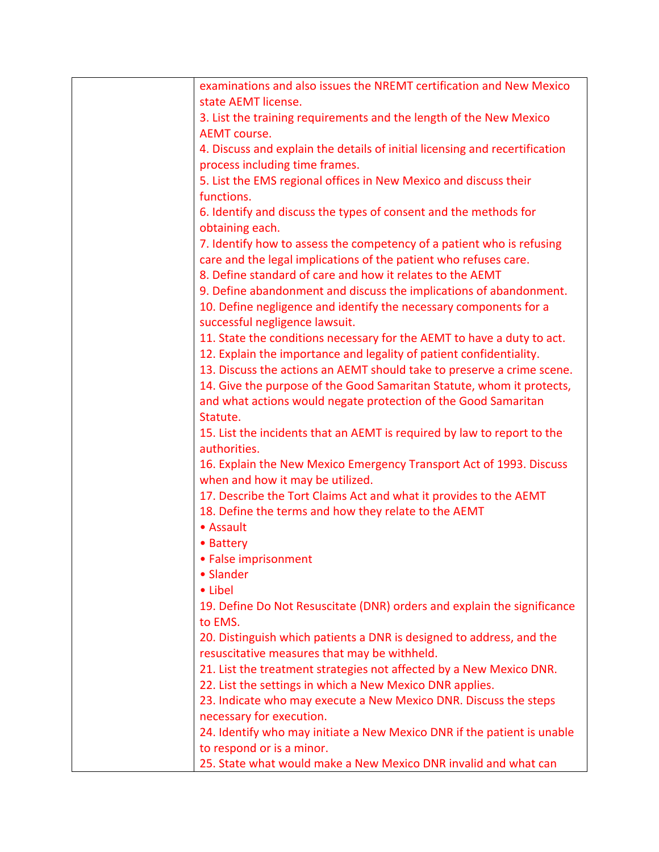| examinations and also issues the NREMT certification and New Mexico         |
|-----------------------------------------------------------------------------|
| state AEMT license.                                                         |
| 3. List the training requirements and the length of the New Mexico          |
| <b>AEMT</b> course.                                                         |
| 4. Discuss and explain the details of initial licensing and recertification |
| process including time frames.                                              |
| 5. List the EMS regional offices in New Mexico and discuss their            |
| functions.                                                                  |
|                                                                             |
| 6. Identify and discuss the types of consent and the methods for            |
| obtaining each.                                                             |
| 7. Identify how to assess the competency of a patient who is refusing       |
| care and the legal implications of the patient who refuses care.            |
| 8. Define standard of care and how it relates to the AEMT                   |
| 9. Define abandonment and discuss the implications of abandonment.          |
| 10. Define negligence and identify the necessary components for a           |
| successful negligence lawsuit.                                              |
| 11. State the conditions necessary for the AEMT to have a duty to act.      |
| 12. Explain the importance and legality of patient confidentiality.         |
| 13. Discuss the actions an AEMT should take to preserve a crime scene.      |
| 14. Give the purpose of the Good Samaritan Statute, whom it protects,       |
| and what actions would negate protection of the Good Samaritan              |
| Statute.                                                                    |
| 15. List the incidents that an AEMT is required by law to report to the     |
| authorities.                                                                |
| 16. Explain the New Mexico Emergency Transport Act of 1993. Discuss         |
| when and how it may be utilized.                                            |
| 17. Describe the Tort Claims Act and what it provides to the AEMT           |
| 18. Define the terms and how they relate to the AEMT                        |
| • Assault                                                                   |
| • Battery                                                                   |
| • False imprisonment                                                        |
| • Slander                                                                   |
| • Libel                                                                     |
| 19. Define Do Not Resuscitate (DNR) orders and explain the significance     |
| to EMS.                                                                     |
| 20. Distinguish which patients a DNR is designed to address, and the        |
| resuscitative measures that may be withheld.                                |
| 21. List the treatment strategies not affected by a New Mexico DNR.         |
| 22. List the settings in which a New Mexico DNR applies.                    |
|                                                                             |
| 23. Indicate who may execute a New Mexico DNR. Discuss the steps            |
| necessary for execution.                                                    |
| 24. Identify who may initiate a New Mexico DNR if the patient is unable     |
| to respond or is a minor.                                                   |
| 25. State what would make a New Mexico DNR invalid and what can             |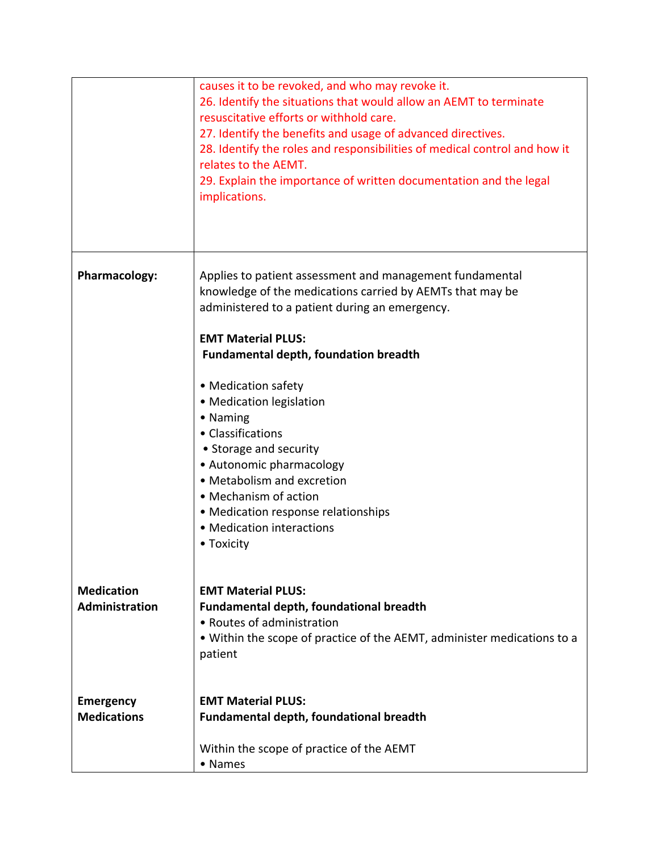|                                            | causes it to be revoked, and who may revoke it.<br>26. Identify the situations that would allow an AEMT to terminate<br>resuscitative efforts or withhold care.<br>27. Identify the benefits and usage of advanced directives.<br>28. Identify the roles and responsibilities of medical control and how it<br>relates to the AEMT.<br>29. Explain the importance of written documentation and the legal<br>implications.                                                                                                               |
|--------------------------------------------|-----------------------------------------------------------------------------------------------------------------------------------------------------------------------------------------------------------------------------------------------------------------------------------------------------------------------------------------------------------------------------------------------------------------------------------------------------------------------------------------------------------------------------------------|
| Pharmacology:                              | Applies to patient assessment and management fundamental<br>knowledge of the medications carried by AEMTs that may be<br>administered to a patient during an emergency.<br><b>EMT Material PLUS:</b><br><b>Fundamental depth, foundation breadth</b><br>• Medication safety<br>• Medication legislation<br>• Naming<br>• Classifications<br>• Storage and security<br>• Autonomic pharmacology<br>• Metabolism and excretion<br>• Mechanism of action<br>• Medication response relationships<br>• Medication interactions<br>• Toxicity |
| <b>Medication</b><br><b>Administration</b> | <b>EMT Material PLUS:</b><br><b>Fundamental depth, foundational breadth</b><br>• Routes of administration<br>. Within the scope of practice of the AEMT, administer medications to a<br>patient                                                                                                                                                                                                                                                                                                                                         |
| <b>Emergency</b><br><b>Medications</b>     | <b>EMT Material PLUS:</b><br><b>Fundamental depth, foundational breadth</b><br>Within the scope of practice of the AEMT<br>• Names                                                                                                                                                                                                                                                                                                                                                                                                      |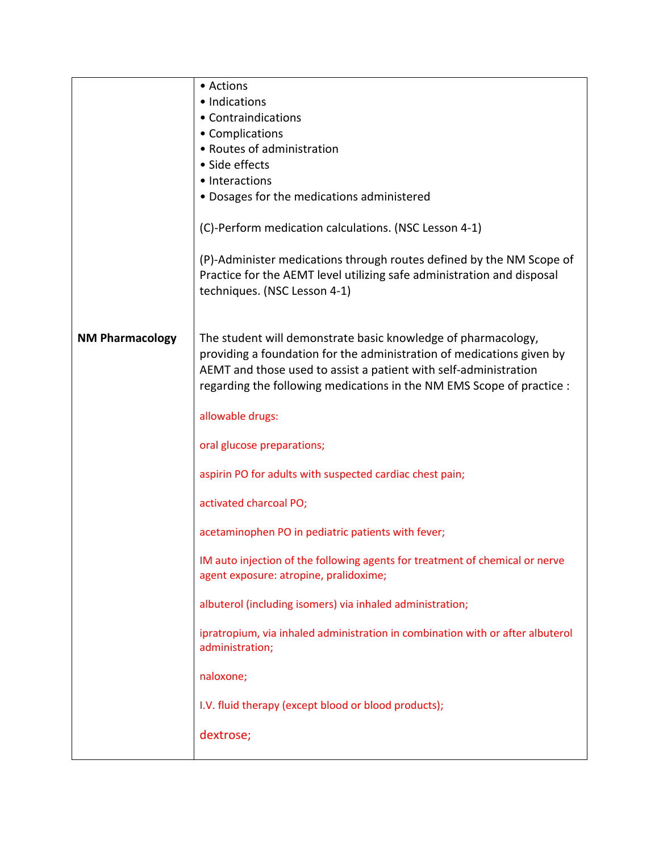|                        | • Actions                                                                                                                                                                                                                                                                           |
|------------------------|-------------------------------------------------------------------------------------------------------------------------------------------------------------------------------------------------------------------------------------------------------------------------------------|
|                        | • Indications                                                                                                                                                                                                                                                                       |
|                        | • Contraindications                                                                                                                                                                                                                                                                 |
|                        | • Complications                                                                                                                                                                                                                                                                     |
|                        | • Routes of administration                                                                                                                                                                                                                                                          |
|                        | • Side effects                                                                                                                                                                                                                                                                      |
|                        | • Interactions                                                                                                                                                                                                                                                                      |
|                        | • Dosages for the medications administered                                                                                                                                                                                                                                          |
|                        | (C)-Perform medication calculations. (NSC Lesson 4-1)                                                                                                                                                                                                                               |
|                        | (P)-Administer medications through routes defined by the NM Scope of<br>Practice for the AEMT level utilizing safe administration and disposal<br>techniques. (NSC Lesson 4-1)                                                                                                      |
| <b>NM Pharmacology</b> | The student will demonstrate basic knowledge of pharmacology,<br>providing a foundation for the administration of medications given by<br>AEMT and those used to assist a patient with self-administration<br>regarding the following medications in the NM EMS Scope of practice : |
|                        | allowable drugs:                                                                                                                                                                                                                                                                    |
|                        | oral glucose preparations;                                                                                                                                                                                                                                                          |
|                        | aspirin PO for adults with suspected cardiac chest pain;                                                                                                                                                                                                                            |
|                        | activated charcoal PO;                                                                                                                                                                                                                                                              |
|                        | acetaminophen PO in pediatric patients with fever;                                                                                                                                                                                                                                  |
|                        | IM auto injection of the following agents for treatment of chemical or nerve<br>agent exposure: atropine, pralidoxime;                                                                                                                                                              |
|                        | albuterol (including isomers) via inhaled administration;                                                                                                                                                                                                                           |
|                        | ipratropium, via inhaled administration in combination with or after albuterol<br>administration;                                                                                                                                                                                   |
|                        | naloxone;                                                                                                                                                                                                                                                                           |
|                        | I.V. fluid therapy (except blood or blood products);                                                                                                                                                                                                                                |
|                        | dextrose;                                                                                                                                                                                                                                                                           |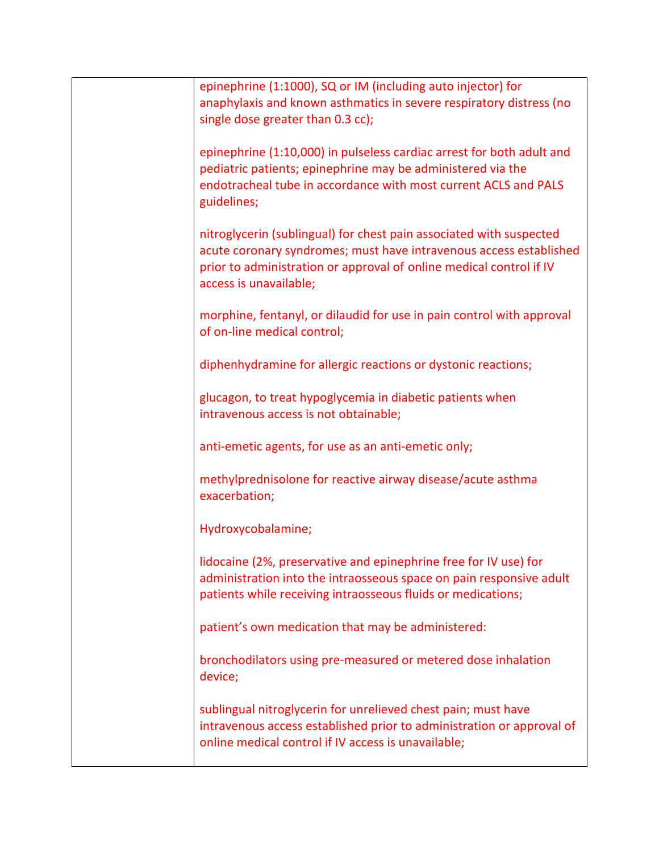| epinephrine (1:1000), SQ or IM (including auto injector) for<br>anaphylaxis and known asthmatics in severe respiratory distress (no<br>single dose greater than 0.3 cc);                                                                   |
|--------------------------------------------------------------------------------------------------------------------------------------------------------------------------------------------------------------------------------------------|
| epinephrine (1:10,000) in pulseless cardiac arrest for both adult and<br>pediatric patients; epinephrine may be administered via the<br>endotracheal tube in accordance with most current ACLS and PALS<br>guidelines;                     |
| nitroglycerin (sublingual) for chest pain associated with suspected<br>acute coronary syndromes; must have intravenous access established<br>prior to administration or approval of online medical control if IV<br>access is unavailable; |
| morphine, fentanyl, or dilaudid for use in pain control with approval<br>of on-line medical control;                                                                                                                                       |
| diphenhydramine for allergic reactions or dystonic reactions;                                                                                                                                                                              |
| glucagon, to treat hypoglycemia in diabetic patients when<br>intravenous access is not obtainable;                                                                                                                                         |
| anti-emetic agents, for use as an anti-emetic only;                                                                                                                                                                                        |
| methylprednisolone for reactive airway disease/acute asthma<br>exacerbation;                                                                                                                                                               |
| Hydroxycobalamine;                                                                                                                                                                                                                         |
| lidocaine (2%, preservative and epinephrine free for IV use) for<br>administration into the intraosseous space on pain responsive adult<br>patients while receiving intraosseous fluids or medications;                                    |
| patient's own medication that may be administered:                                                                                                                                                                                         |
| bronchodilators using pre-measured or metered dose inhalation<br>device;                                                                                                                                                                   |
| sublingual nitroglycerin for unrelieved chest pain; must have<br>intravenous access established prior to administration or approval of<br>online medical control if IV access is unavailable;                                              |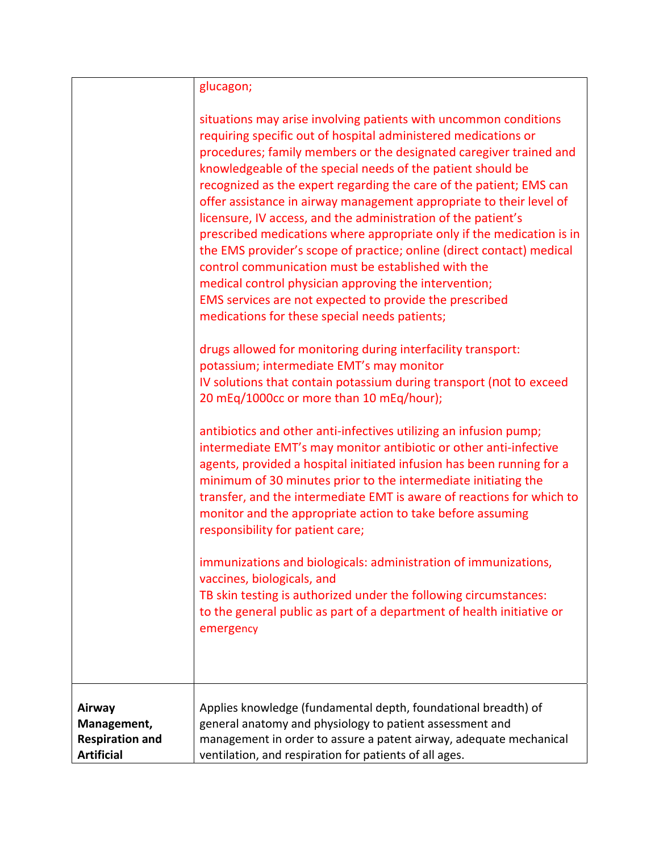|                                                                      | glucagon;                                                                                                                                                                                                                                                                                                                                                                                                                                                                                                                                                                                                                                                                                                                                                                                                                                                                                                                                                                        |
|----------------------------------------------------------------------|----------------------------------------------------------------------------------------------------------------------------------------------------------------------------------------------------------------------------------------------------------------------------------------------------------------------------------------------------------------------------------------------------------------------------------------------------------------------------------------------------------------------------------------------------------------------------------------------------------------------------------------------------------------------------------------------------------------------------------------------------------------------------------------------------------------------------------------------------------------------------------------------------------------------------------------------------------------------------------|
|                                                                      | situations may arise involving patients with uncommon conditions<br>requiring specific out of hospital administered medications or<br>procedures; family members or the designated caregiver trained and<br>knowledgeable of the special needs of the patient should be<br>recognized as the expert regarding the care of the patient; EMS can<br>offer assistance in airway management appropriate to their level of<br>licensure, IV access, and the administration of the patient's<br>prescribed medications where appropriate only if the medication is in<br>the EMS provider's scope of practice; online (direct contact) medical<br>control communication must be established with the<br>medical control physician approving the intervention;<br>EMS services are not expected to provide the prescribed<br>medications for these special needs patients;<br>drugs allowed for monitoring during interfacility transport:<br>potassium; intermediate EMT's may monitor |
|                                                                      | IV solutions that contain potassium during transport (not to exceed<br>20 mEq/1000cc or more than 10 mEq/hour);                                                                                                                                                                                                                                                                                                                                                                                                                                                                                                                                                                                                                                                                                                                                                                                                                                                                  |
|                                                                      | antibiotics and other anti-infectives utilizing an infusion pump;<br>intermediate EMT's may monitor antibiotic or other anti-infective<br>agents, provided a hospital initiated infusion has been running for a<br>minimum of 30 minutes prior to the intermediate initiating the<br>transfer, and the intermediate EMT is aware of reactions for which to<br>monitor and the appropriate action to take before assuming<br>responsibility for patient care;                                                                                                                                                                                                                                                                                                                                                                                                                                                                                                                     |
|                                                                      | immunizations and biologicals: administration of immunizations,<br>vaccines, biologicals, and<br>TB skin testing is authorized under the following circumstances:<br>to the general public as part of a department of health initiative or<br>emergency                                                                                                                                                                                                                                                                                                                                                                                                                                                                                                                                                                                                                                                                                                                          |
| Airway<br>Management,<br><b>Respiration and</b><br><b>Artificial</b> | Applies knowledge (fundamental depth, foundational breadth) of<br>general anatomy and physiology to patient assessment and<br>management in order to assure a patent airway, adequate mechanical<br>ventilation, and respiration for patients of all ages.                                                                                                                                                                                                                                                                                                                                                                                                                                                                                                                                                                                                                                                                                                                       |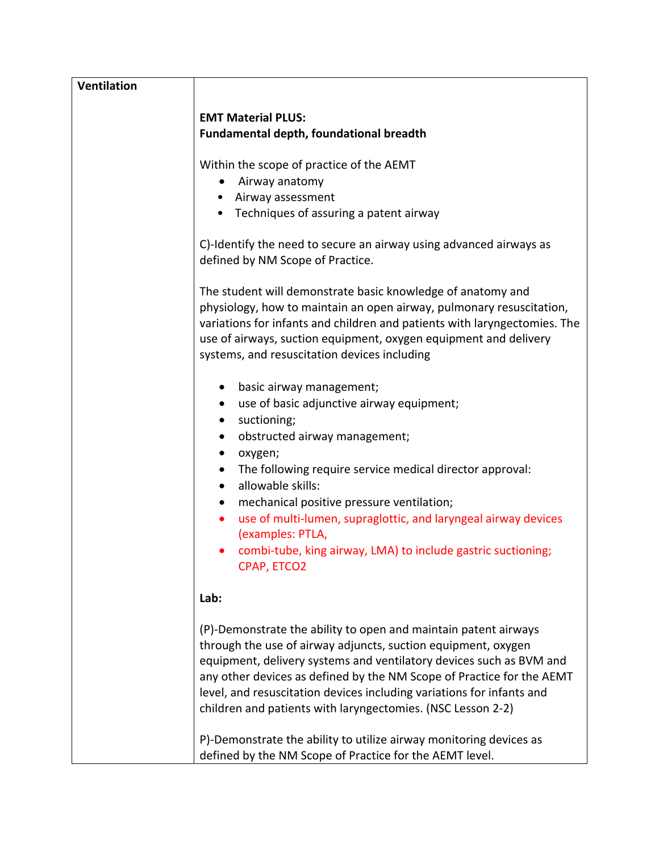| <b>Ventilation</b> |                                                                                                                                                                                                                                                                                                                                                                                                                          |
|--------------------|--------------------------------------------------------------------------------------------------------------------------------------------------------------------------------------------------------------------------------------------------------------------------------------------------------------------------------------------------------------------------------------------------------------------------|
|                    | <b>EMT Material PLUS:</b>                                                                                                                                                                                                                                                                                                                                                                                                |
|                    | Fundamental depth, foundational breadth                                                                                                                                                                                                                                                                                                                                                                                  |
|                    | Within the scope of practice of the AEMT                                                                                                                                                                                                                                                                                                                                                                                 |
|                    | Airway anatomy<br>٠                                                                                                                                                                                                                                                                                                                                                                                                      |
|                    | • Airway assessment                                                                                                                                                                                                                                                                                                                                                                                                      |
|                    | • Techniques of assuring a patent airway                                                                                                                                                                                                                                                                                                                                                                                 |
|                    | C)-Identify the need to secure an airway using advanced airways as<br>defined by NM Scope of Practice.                                                                                                                                                                                                                                                                                                                   |
|                    | The student will demonstrate basic knowledge of anatomy and<br>physiology, how to maintain an open airway, pulmonary resuscitation,<br>variations for infants and children and patients with laryngectomies. The<br>use of airways, suction equipment, oxygen equipment and delivery<br>systems, and resuscitation devices including                                                                                     |
|                    | basic airway management;<br>use of basic adjunctive airway equipment;<br>$\bullet$                                                                                                                                                                                                                                                                                                                                       |
|                    | suctioning;<br>$\bullet$                                                                                                                                                                                                                                                                                                                                                                                                 |
|                    | obstructed airway management;<br>$\bullet$                                                                                                                                                                                                                                                                                                                                                                               |
|                    | $\bullet$                                                                                                                                                                                                                                                                                                                                                                                                                |
|                    | oxygen;<br>The following require service medical director approval:<br>٠                                                                                                                                                                                                                                                                                                                                                 |
|                    | allowable skills:<br>$\bullet$                                                                                                                                                                                                                                                                                                                                                                                           |
|                    | mechanical positive pressure ventilation;<br>$\bullet$                                                                                                                                                                                                                                                                                                                                                                   |
|                    | use of multi-lumen, supraglottic, and laryngeal airway devices<br>٠                                                                                                                                                                                                                                                                                                                                                      |
|                    | (examples: PTLA,                                                                                                                                                                                                                                                                                                                                                                                                         |
|                    | • combi-tube, king airway, LMA) to include gastric suctioning;<br>CPAP, ETCO2                                                                                                                                                                                                                                                                                                                                            |
|                    | Lab:                                                                                                                                                                                                                                                                                                                                                                                                                     |
|                    | (P)-Demonstrate the ability to open and maintain patent airways<br>through the use of airway adjuncts, suction equipment, oxygen<br>equipment, delivery systems and ventilatory devices such as BVM and<br>any other devices as defined by the NM Scope of Practice for the AEMT<br>level, and resuscitation devices including variations for infants and<br>children and patients with laryngectomies. (NSC Lesson 2-2) |
|                    | P)-Demonstrate the ability to utilize airway monitoring devices as<br>defined by the NM Scope of Practice for the AEMT level.                                                                                                                                                                                                                                                                                            |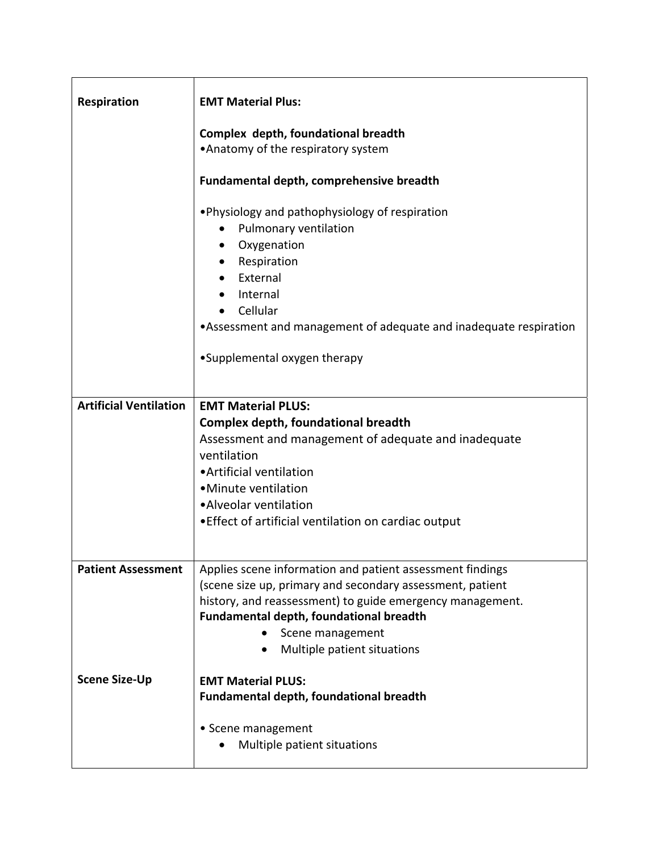| <b>Respiration</b>            | <b>EMT Material Plus:</b>                                                                                                                                                                                                                                                         |
|-------------------------------|-----------------------------------------------------------------------------------------------------------------------------------------------------------------------------------------------------------------------------------------------------------------------------------|
|                               | Complex depth, foundational breadth<br>•Anatomy of the respiratory system                                                                                                                                                                                                         |
|                               | Fundamental depth, comprehensive breadth                                                                                                                                                                                                                                          |
|                               | •Physiology and pathophysiology of respiration<br>Pulmonary ventilation<br>٠<br>Oxygenation<br>$\bullet$<br>• Respiration<br>External<br>Internal<br>Cellular<br>•Assessment and management of adequate and inadequate respiration<br>•Supplemental oxygen therapy                |
|                               |                                                                                                                                                                                                                                                                                   |
| <b>Artificial Ventilation</b> | <b>EMT Material PLUS:</b><br>Complex depth, foundational breadth<br>Assessment and management of adequate and inadequate<br>ventilation<br>• Artificial ventilation<br>• Minute ventilation<br>• Alveolar ventilation<br>• Effect of artificial ventilation on cardiac output     |
| <b>Patient Assessment</b>     | Applies scene information and patient assessment findings<br>(scene size up, primary and secondary assessment, patient<br>history, and reassessment) to guide emergency management.<br>Fundamental depth, foundational breadth<br>Scene management<br>Multiple patient situations |
| <b>Scene Size-Up</b>          | <b>EMT Material PLUS:</b><br>Fundamental depth, foundational breadth<br>• Scene management<br>Multiple patient situations                                                                                                                                                         |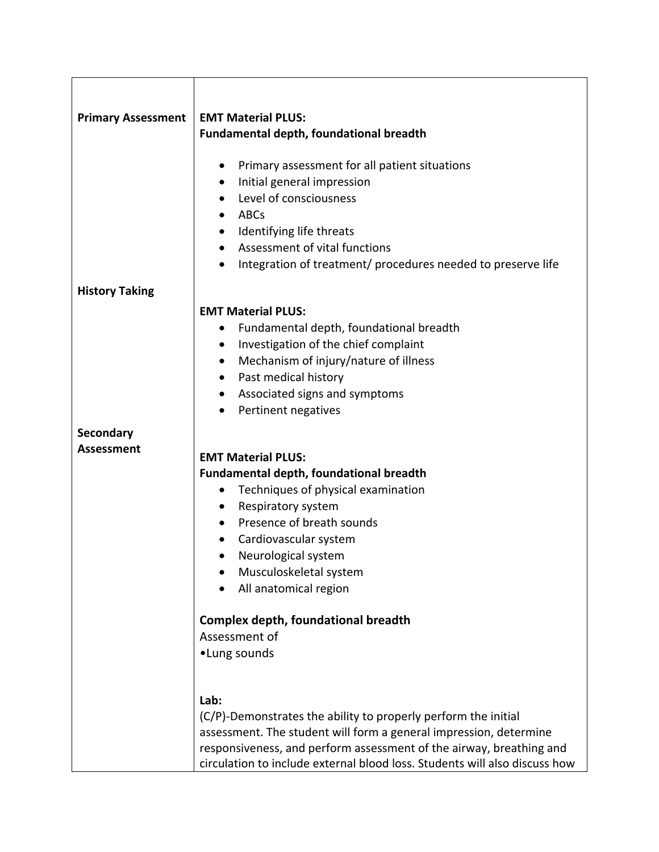| <b>Primary Assessment</b> | <b>EMT Material PLUS:</b>                                                  |
|---------------------------|----------------------------------------------------------------------------|
|                           | <b>Fundamental depth, foundational breadth</b>                             |
|                           |                                                                            |
|                           | Primary assessment for all patient situations<br>٠                         |
|                           | Initial general impression<br>٠                                            |
|                           | Level of consciousness<br>$\bullet$                                        |
|                           | ABCs                                                                       |
|                           | Identifying life threats<br>$\bullet$                                      |
|                           | Assessment of vital functions                                              |
|                           | Integration of treatment/ procedures needed to preserve life<br>$\bullet$  |
| <b>History Taking</b>     |                                                                            |
|                           | <b>EMT Material PLUS:</b>                                                  |
|                           | Fundamental depth, foundational breadth                                    |
|                           | Investigation of the chief complaint<br>٠                                  |
|                           | Mechanism of injury/nature of illness<br>$\bullet$                         |
|                           | Past medical history<br>٠                                                  |
|                           | Associated signs and symptoms<br>٠                                         |
|                           | Pertinent negatives                                                        |
| Secondary                 |                                                                            |
| <b>Assessment</b>         |                                                                            |
|                           | <b>EMT Material PLUS:</b>                                                  |
|                           | <b>Fundamental depth, foundational breadth</b>                             |
|                           | Techniques of physical examination                                         |
|                           | Respiratory system<br>$\bullet$                                            |
|                           | Presence of breath sounds<br>$\bullet$                                     |
|                           | Cardiovascular system                                                      |
|                           | Neurological system                                                        |
|                           | Musculoskeletal system<br>All anatomical region                            |
|                           |                                                                            |
|                           | <b>Complex depth, foundational breadth</b>                                 |
|                           | Assessment of                                                              |
|                           | •Lung sounds                                                               |
|                           |                                                                            |
|                           | Lab:                                                                       |
|                           | (C/P)-Demonstrates the ability to properly perform the initial             |
|                           | assessment. The student will form a general impression, determine          |
|                           | responsiveness, and perform assessment of the airway, breathing and        |
|                           | circulation to include external blood loss. Students will also discuss how |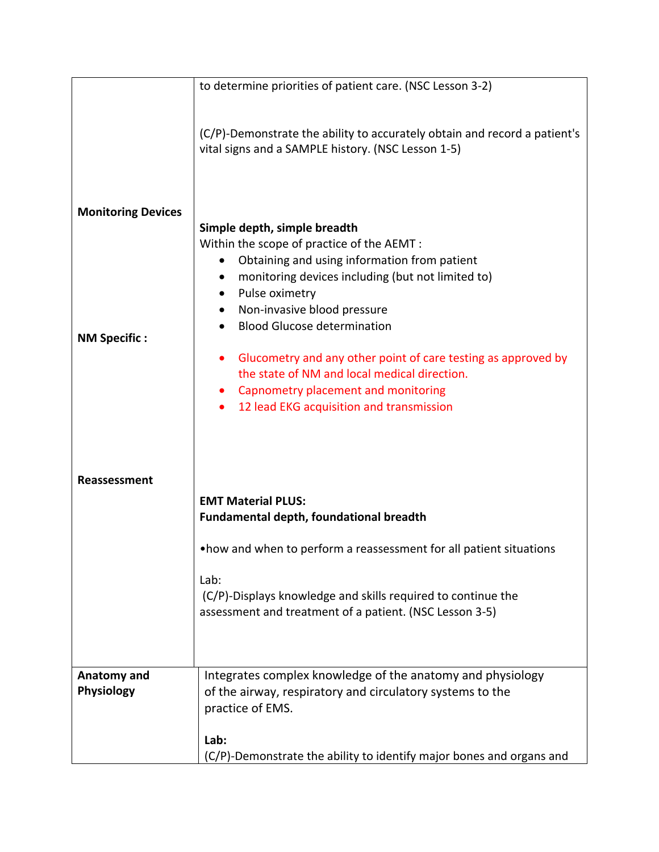| to determine priorities of patient care. (NSC Lesson 3-2)                                                                                                                                        |
|--------------------------------------------------------------------------------------------------------------------------------------------------------------------------------------------------|
|                                                                                                                                                                                                  |
| (C/P)-Demonstrate the ability to accurately obtain and record a patient's<br>vital signs and a SAMPLE history. (NSC Lesson 1-5)                                                                  |
| Simple depth, simple breadth<br>Within the scope of practice of the AEMT :<br>Obtaining and using information from patient<br>monitoring devices including (but not limited to)                  |
| Pulse oximetry                                                                                                                                                                                   |
| Non-invasive blood pressure                                                                                                                                                                      |
| <b>Blood Glucose determination</b>                                                                                                                                                               |
|                                                                                                                                                                                                  |
| Glucometry and any other point of care testing as approved by<br>the state of NM and local medical direction.<br>Capnometry placement and monitoring<br>12 lead EKG acquisition and transmission |
| <b>EMT Material PLUS:</b>                                                                                                                                                                        |
| <b>Fundamental depth, foundational breadth</b>                                                                                                                                                   |
| . how and when to perform a reassessment for all patient situations                                                                                                                              |
| Lab:<br>(C/P)-Displays knowledge and skills required to continue the<br>assessment and treatment of a patient. (NSC Lesson 3-5)                                                                  |
|                                                                                                                                                                                                  |
| Integrates complex knowledge of the anatomy and physiology<br>of the airway, respiratory and circulatory systems to the<br>practice of EMS.                                                      |
| Lab:                                                                                                                                                                                             |
| (C/P)-Demonstrate the ability to identify major bones and organs and                                                                                                                             |
|                                                                                                                                                                                                  |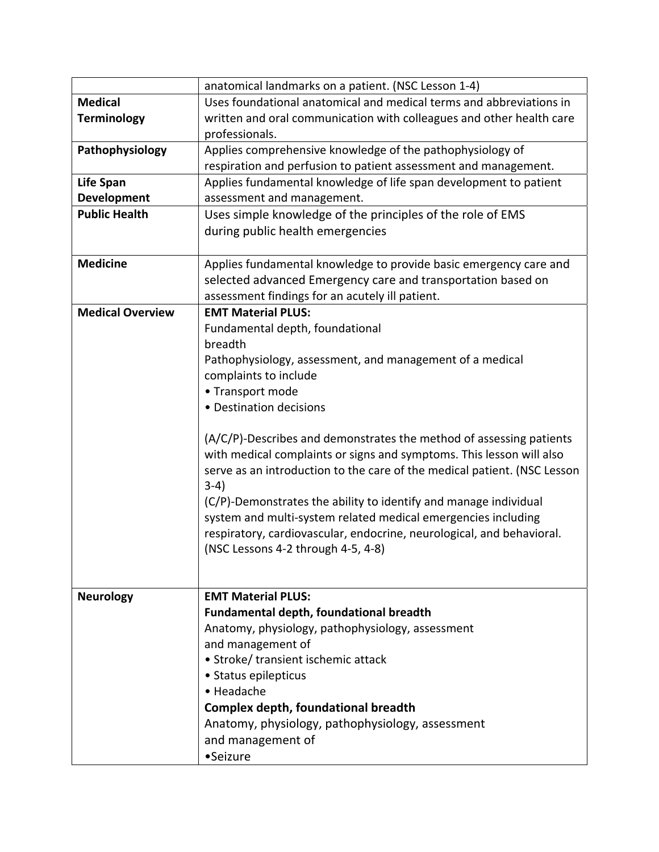|                         | anatomical landmarks on a patient. (NSC Lesson 1-4)                      |
|-------------------------|--------------------------------------------------------------------------|
| <b>Medical</b>          | Uses foundational anatomical and medical terms and abbreviations in      |
| <b>Terminology</b>      | written and oral communication with colleagues and other health care     |
|                         | professionals.                                                           |
| Pathophysiology         | Applies comprehensive knowledge of the pathophysiology of                |
|                         | respiration and perfusion to patient assessment and management.          |
| <b>Life Span</b>        | Applies fundamental knowledge of life span development to patient        |
| <b>Development</b>      | assessment and management.                                               |
| <b>Public Health</b>    | Uses simple knowledge of the principles of the role of EMS               |
|                         | during public health emergencies                                         |
|                         |                                                                          |
| <b>Medicine</b>         | Applies fundamental knowledge to provide basic emergency care and        |
|                         | selected advanced Emergency care and transportation based on             |
|                         | assessment findings for an acutely ill patient.                          |
| <b>Medical Overview</b> | <b>EMT Material PLUS:</b>                                                |
|                         | Fundamental depth, foundational                                          |
|                         | breadth                                                                  |
|                         | Pathophysiology, assessment, and management of a medical                 |
|                         | complaints to include                                                    |
|                         | • Transport mode                                                         |
|                         | • Destination decisions                                                  |
|                         |                                                                          |
|                         | (A/C/P)-Describes and demonstrates the method of assessing patients      |
|                         | with medical complaints or signs and symptoms. This lesson will also     |
|                         | serve as an introduction to the care of the medical patient. (NSC Lesson |
|                         | $3-4)$                                                                   |
|                         | (C/P)-Demonstrates the ability to identify and manage individual         |
|                         | system and multi-system related medical emergencies including            |
|                         | respiratory, cardiovascular, endocrine, neurological, and behavioral.    |
|                         | (NSC Lessons 4-2 through 4-5, 4-8)                                       |
|                         |                                                                          |
| <b>Neurology</b>        | <b>EMT Material PLUS:</b>                                                |
|                         | <b>Fundamental depth, foundational breadth</b>                           |
|                         | Anatomy, physiology, pathophysiology, assessment                         |
|                         | and management of                                                        |
|                         | • Stroke/ transient ischemic attack                                      |
|                         | • Status epilepticus                                                     |
|                         | • Headache                                                               |
|                         | <b>Complex depth, foundational breadth</b>                               |
|                         | Anatomy, physiology, pathophysiology, assessment                         |
|                         | and management of                                                        |
|                         | •Seizure                                                                 |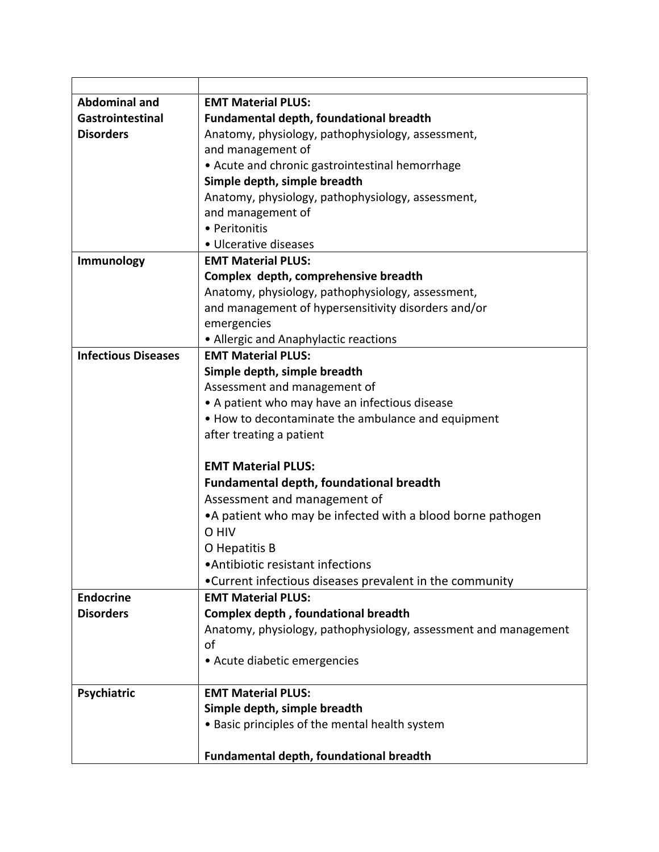| <b>Abdominal and</b>       | <b>EMT Material PLUS:</b>                                       |
|----------------------------|-----------------------------------------------------------------|
| Gastrointestinal           | Fundamental depth, foundational breadth                         |
| <b>Disorders</b>           | Anatomy, physiology, pathophysiology, assessment,               |
|                            | and management of                                               |
|                            | • Acute and chronic gastrointestinal hemorrhage                 |
|                            | Simple depth, simple breadth                                    |
|                            | Anatomy, physiology, pathophysiology, assessment,               |
|                            | and management of                                               |
|                            | • Peritonitis                                                   |
|                            | • Ulcerative diseases                                           |
| Immunology                 | <b>EMT Material PLUS:</b>                                       |
|                            | Complex depth, comprehensive breadth                            |
|                            | Anatomy, physiology, pathophysiology, assessment,               |
|                            | and management of hypersensitivity disorders and/or             |
|                            | emergencies                                                     |
|                            | • Allergic and Anaphylactic reactions                           |
| <b>Infectious Diseases</b> | <b>EMT Material PLUS:</b>                                       |
|                            | Simple depth, simple breadth                                    |
|                            | Assessment and management of                                    |
|                            | • A patient who may have an infectious disease                  |
|                            | . How to decontaminate the ambulance and equipment              |
|                            | after treating a patient                                        |
|                            |                                                                 |
|                            | <b>EMT Material PLUS:</b>                                       |
|                            | <b>Fundamental depth, foundational breadth</b>                  |
|                            | Assessment and management of                                    |
|                            | • A patient who may be infected with a blood borne pathogen     |
|                            | O HIV                                                           |
|                            | O Hepatitis B                                                   |
|                            | • Antibiotic resistant infections                               |
|                            | •Current infectious diseases prevalent in the community         |
| <b>Endocrine</b>           | <b>EMT Material PLUS:</b>                                       |
| <b>Disorders</b>           | Complex depth, foundational breadth                             |
|                            | Anatomy, physiology, pathophysiology, assessment and management |
|                            | of                                                              |
|                            | • Acute diabetic emergencies                                    |
|                            |                                                                 |
| Psychiatric                | <b>EMT Material PLUS:</b>                                       |
|                            | Simple depth, simple breadth                                    |
|                            | • Basic principles of the mental health system                  |
|                            |                                                                 |
|                            | Fundamental depth, foundational breadth                         |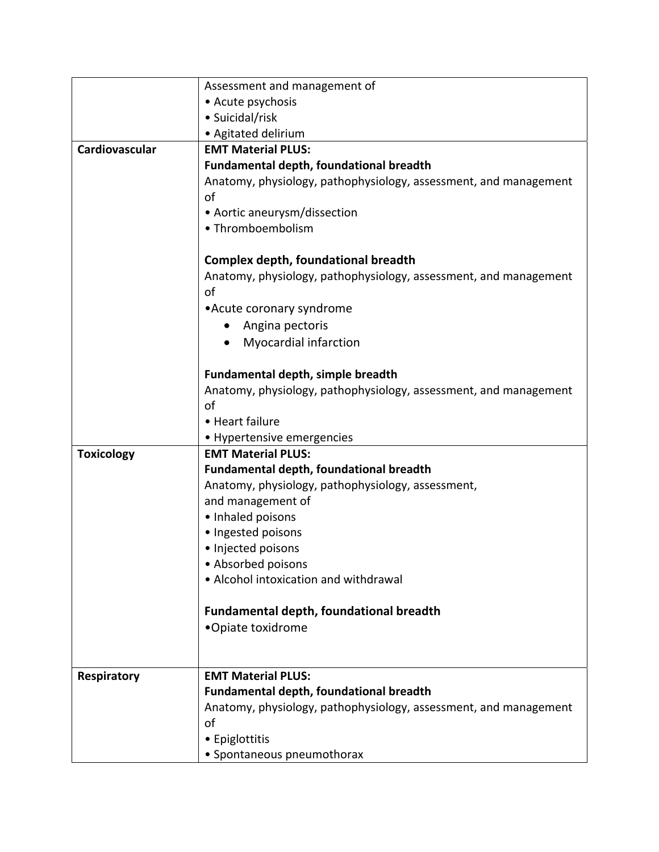|                    | Assessment and management of                                     |
|--------------------|------------------------------------------------------------------|
|                    | • Acute psychosis                                                |
|                    | • Suicidal/risk                                                  |
|                    | • Agitated delirium                                              |
| Cardiovascular     | <b>EMT Material PLUS:</b>                                        |
|                    | Fundamental depth, foundational breadth                          |
|                    | Anatomy, physiology, pathophysiology, assessment, and management |
|                    | of                                                               |
|                    | • Aortic aneurysm/dissection                                     |
|                    | • Thromboembolism                                                |
|                    | <b>Complex depth, foundational breadth</b>                       |
|                    | Anatomy, physiology, pathophysiology, assessment, and management |
|                    | οf                                                               |
|                    | • Acute coronary syndrome                                        |
|                    |                                                                  |
|                    | Angina pectoris                                                  |
|                    | <b>Myocardial infarction</b>                                     |
|                    | Fundamental depth, simple breadth                                |
|                    | Anatomy, physiology, pathophysiology, assessment, and management |
|                    | of                                                               |
|                    | • Heart failure                                                  |
|                    | • Hypertensive emergencies                                       |
| <b>Toxicology</b>  | <b>EMT Material PLUS:</b>                                        |
|                    | <b>Fundamental depth, foundational breadth</b>                   |
|                    | Anatomy, physiology, pathophysiology, assessment,                |
|                    | and management of                                                |
|                    | · Inhaled poisons                                                |
|                    | · Ingested poisons                                               |
|                    | · Injected poisons                                               |
|                    | • Absorbed poisons                                               |
|                    | • Alcohol intoxication and withdrawal                            |
|                    | <b>Fundamental depth, foundational breadth</b>                   |
|                    | •Opiate toxidrome                                                |
|                    |                                                                  |
|                    |                                                                  |
| <b>Respiratory</b> | <b>EMT Material PLUS:</b>                                        |
|                    | <b>Fundamental depth, foundational breadth</b>                   |
|                    | Anatomy, physiology, pathophysiology, assessment, and management |
|                    | of                                                               |
|                    | • Epiglottitis                                                   |
|                    | • Spontaneous pneumothorax                                       |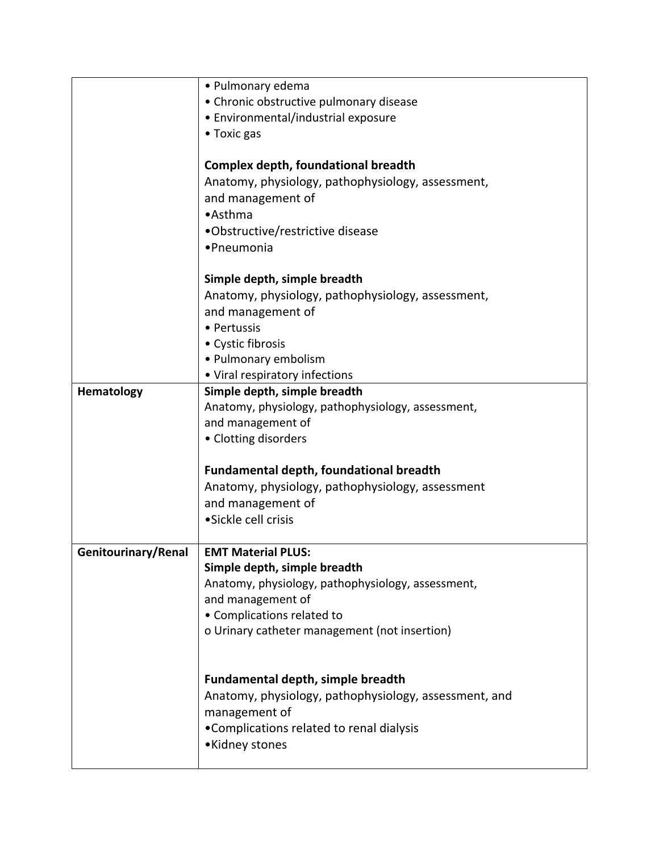|                     | • Pulmonary edema                                     |
|---------------------|-------------------------------------------------------|
|                     | • Chronic obstructive pulmonary disease               |
|                     | • Environmental/industrial exposure                   |
|                     | • Toxic gas                                           |
|                     |                                                       |
|                     | Complex depth, foundational breadth                   |
|                     | Anatomy, physiology, pathophysiology, assessment,     |
|                     | and management of                                     |
|                     | •Asthma                                               |
|                     | •Obstructive/restrictive disease                      |
|                     | •Pneumonia                                            |
|                     |                                                       |
|                     | Simple depth, simple breadth                          |
|                     | Anatomy, physiology, pathophysiology, assessment,     |
|                     | and management of                                     |
|                     | • Pertussis                                           |
|                     | • Cystic fibrosis                                     |
|                     | • Pulmonary embolism                                  |
|                     | • Viral respiratory infections                        |
| Hematology          | Simple depth, simple breadth                          |
|                     | Anatomy, physiology, pathophysiology, assessment,     |
|                     | and management of                                     |
|                     | • Clotting disorders                                  |
|                     |                                                       |
|                     | Fundamental depth, foundational breadth               |
|                     | Anatomy, physiology, pathophysiology, assessment      |
|                     | and management of                                     |
|                     | • Sickle cell crisis                                  |
|                     |                                                       |
| Genitourinary/Renal | <b>EMT Material PLUS:</b>                             |
|                     | Simple depth, simple breadth                          |
|                     | Anatomy, physiology, pathophysiology, assessment,     |
|                     | and management of                                     |
|                     | • Complications related to                            |
|                     | o Urinary catheter management (not insertion)         |
|                     |                                                       |
|                     |                                                       |
|                     | <b>Fundamental depth, simple breadth</b>              |
|                     | Anatomy, physiology, pathophysiology, assessment, and |
|                     | management of                                         |
|                     | •Complications related to renal dialysis              |
|                     | •Kidney stones                                        |
|                     |                                                       |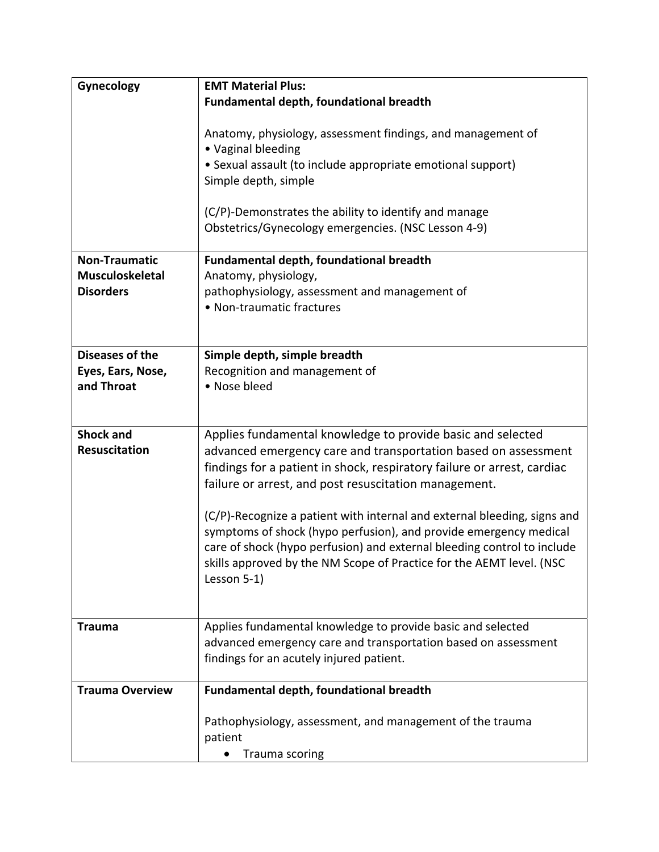| Gynecology                               | <b>EMT Material Plus:</b>                                                                                                                                                                                                                                                                                       |
|------------------------------------------|-----------------------------------------------------------------------------------------------------------------------------------------------------------------------------------------------------------------------------------------------------------------------------------------------------------------|
|                                          | Fundamental depth, foundational breadth                                                                                                                                                                                                                                                                         |
|                                          | Anatomy, physiology, assessment findings, and management of<br>• Vaginal bleeding<br>• Sexual assault (to include appropriate emotional support)                                                                                                                                                                |
|                                          | Simple depth, simple                                                                                                                                                                                                                                                                                            |
|                                          | (C/P)-Demonstrates the ability to identify and manage<br>Obstetrics/Gynecology emergencies. (NSC Lesson 4-9)                                                                                                                                                                                                    |
| <b>Non-Traumatic</b>                     | Fundamental depth, foundational breadth                                                                                                                                                                                                                                                                         |
| <b>Musculoskeletal</b>                   | Anatomy, physiology,                                                                                                                                                                                                                                                                                            |
| <b>Disorders</b>                         | pathophysiology, assessment and management of                                                                                                                                                                                                                                                                   |
|                                          | • Non-traumatic fractures                                                                                                                                                                                                                                                                                       |
|                                          |                                                                                                                                                                                                                                                                                                                 |
| <b>Diseases of the</b>                   | Simple depth, simple breadth                                                                                                                                                                                                                                                                                    |
| Eyes, Ears, Nose,                        | Recognition and management of                                                                                                                                                                                                                                                                                   |
| and Throat                               | • Nose bleed                                                                                                                                                                                                                                                                                                    |
|                                          |                                                                                                                                                                                                                                                                                                                 |
|                                          |                                                                                                                                                                                                                                                                                                                 |
| <b>Shock and</b><br><b>Resuscitation</b> | Applies fundamental knowledge to provide basic and selected<br>advanced emergency care and transportation based on assessment<br>findings for a patient in shock, respiratory failure or arrest, cardiac<br>failure or arrest, and post resuscitation management.                                               |
|                                          | (C/P)-Recognize a patient with internal and external bleeding, signs and<br>symptoms of shock (hypo perfusion), and provide emergency medical<br>care of shock (hypo perfusion) and external bleeding control to include<br>skills approved by the NM Scope of Practice for the AEMT level. (NSC<br>Lesson 5-1) |
| <b>Trauma</b>                            | Applies fundamental knowledge to provide basic and selected<br>advanced emergency care and transportation based on assessment<br>findings for an acutely injured patient.                                                                                                                                       |
|                                          |                                                                                                                                                                                                                                                                                                                 |
| <b>Trauma Overview</b>                   | Fundamental depth, foundational breadth                                                                                                                                                                                                                                                                         |
|                                          | Pathophysiology, assessment, and management of the trauma<br>patient<br>Trauma scoring                                                                                                                                                                                                                          |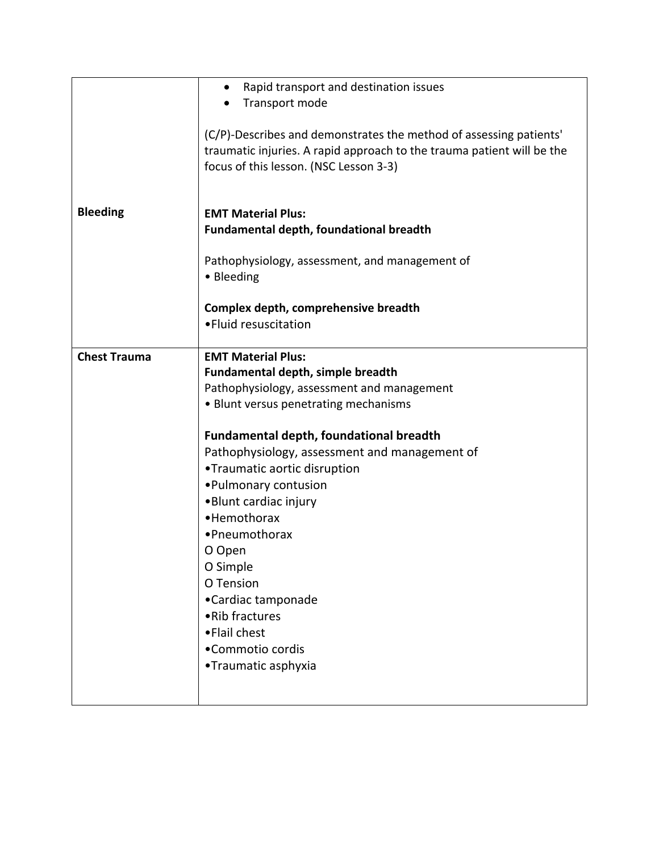|                     | Rapid transport and destination issues<br>٠                            |
|---------------------|------------------------------------------------------------------------|
|                     | Transport mode                                                         |
|                     |                                                                        |
|                     | (C/P)-Describes and demonstrates the method of assessing patients'     |
|                     |                                                                        |
|                     | traumatic injuries. A rapid approach to the trauma patient will be the |
|                     | focus of this lesson. (NSC Lesson 3-3)                                 |
|                     |                                                                        |
|                     |                                                                        |
| <b>Bleeding</b>     | <b>EMT Material Plus:</b>                                              |
|                     | <b>Fundamental depth, foundational breadth</b>                         |
|                     |                                                                        |
|                     | Pathophysiology, assessment, and management of                         |
|                     | • Bleeding                                                             |
|                     |                                                                        |
|                     | Complex depth, comprehensive breadth                                   |
|                     | • Fluid resuscitation                                                  |
|                     |                                                                        |
| <b>Chest Trauma</b> | <b>EMT Material Plus:</b>                                              |
|                     | Fundamental depth, simple breadth                                      |
|                     | Pathophysiology, assessment and management                             |
|                     | • Blunt versus penetrating mechanisms                                  |
|                     | <b>Fundamental depth, foundational breadth</b>                         |
|                     | Pathophysiology, assessment and management of                          |
|                     | •Traumatic aortic disruption                                           |
|                     | • Pulmonary contusion                                                  |
|                     | •Blunt cardiac injury                                                  |
|                     | • Hemothorax                                                           |
|                     | •Pneumothorax                                                          |
|                     | O Open                                                                 |
|                     | O Simple                                                               |
|                     | O Tension                                                              |
|                     | •Cardiac tamponade                                                     |
|                     | • Rib fractures                                                        |
|                     | •Flail chest                                                           |
|                     |                                                                        |
|                     | •Commotio cordis                                                       |
|                     | •Traumatic asphyxia                                                    |
|                     |                                                                        |
|                     |                                                                        |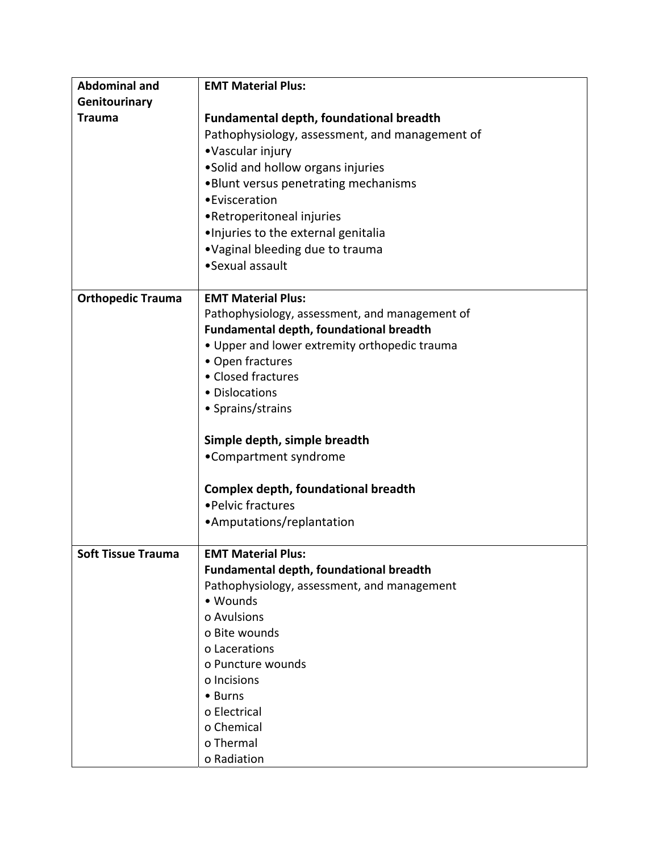| <b>Abdominal and</b>      | <b>EMT Material Plus:</b>                      |
|---------------------------|------------------------------------------------|
| Genitourinary             |                                                |
| <b>Trauma</b>             | <b>Fundamental depth, foundational breadth</b> |
|                           | Pathophysiology, assessment, and management of |
|                           | •Vascular injury                               |
|                           | •Solid and hollow organs injuries              |
|                           | .Blunt versus penetrating mechanisms           |
|                           | • Evisceration                                 |
|                           | •Retroperitoneal injuries                      |
|                           | . Injuries to the external genitalia           |
|                           | .Vaginal bleeding due to trauma                |
|                           | •Sexual assault                                |
|                           |                                                |
| <b>Orthopedic Trauma</b>  | <b>EMT Material Plus:</b>                      |
|                           | Pathophysiology, assessment, and management of |
|                           | <b>Fundamental depth, foundational breadth</b> |
|                           | • Upper and lower extremity orthopedic trauma  |
|                           | • Open fractures                               |
|                           | • Closed fractures                             |
|                           | • Dislocations                                 |
|                           | • Sprains/strains                              |
|                           |                                                |
|                           | Simple depth, simple breadth                   |
|                           | •Compartment syndrome                          |
|                           |                                                |
|                           | <b>Complex depth, foundational breadth</b>     |
|                           | • Pelvic fractures                             |
|                           | •Amputations/replantation                      |
|                           |                                                |
| <b>Soft Tissue Trauma</b> | <b>EMT Material Plus:</b>                      |
|                           | <b>Fundamental depth, foundational breadth</b> |
|                           | Pathophysiology, assessment, and management    |
|                           | • Wounds                                       |
|                           | o Avulsions                                    |
|                           | o Bite wounds                                  |
|                           | o Lacerations                                  |
|                           | o Puncture wounds                              |
|                           | o Incisions                                    |
|                           | • Burns                                        |
|                           | o Electrical                                   |
|                           | o Chemical                                     |
|                           | o Thermal                                      |
|                           | o Radiation                                    |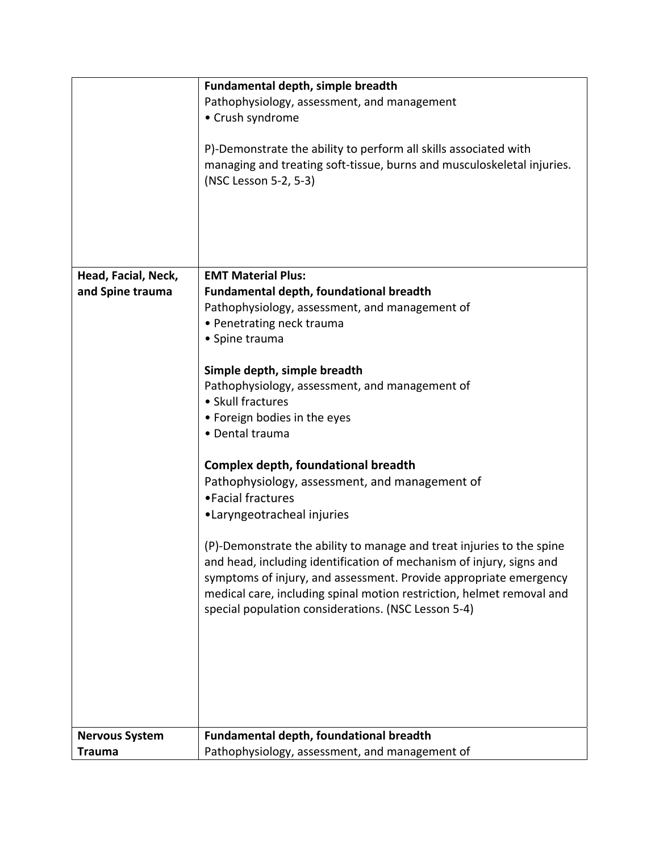|                       | Fundamental depth, simple breadth                                      |
|-----------------------|------------------------------------------------------------------------|
|                       | Pathophysiology, assessment, and management                            |
|                       | • Crush syndrome                                                       |
|                       |                                                                        |
|                       | P)-Demonstrate the ability to perform all skills associated with       |
|                       | managing and treating soft-tissue, burns and musculoskeletal injuries. |
|                       | (NSC Lesson 5-2, 5-3)                                                  |
|                       |                                                                        |
|                       |                                                                        |
|                       |                                                                        |
|                       |                                                                        |
|                       |                                                                        |
|                       |                                                                        |
| Head, Facial, Neck,   | <b>EMT Material Plus:</b>                                              |
| and Spine trauma      | <b>Fundamental depth, foundational breadth</b>                         |
|                       | Pathophysiology, assessment, and management of                         |
|                       | • Penetrating neck trauma                                              |
|                       | • Spine trauma                                                         |
|                       |                                                                        |
|                       | Simple depth, simple breadth                                           |
|                       | Pathophysiology, assessment, and management of                         |
|                       | • Skull fractures                                                      |
|                       | • Foreign bodies in the eyes                                           |
|                       | • Dental trauma                                                        |
|                       |                                                                        |
|                       | <b>Complex depth, foundational breadth</b>                             |
|                       | Pathophysiology, assessment, and management of                         |
|                       | • Facial fractures                                                     |
|                       |                                                                        |
|                       | •Laryngeotracheal injuries                                             |
|                       |                                                                        |
|                       | (P)-Demonstrate the ability to manage and treat injuries to the spine  |
|                       | and head, including identification of mechanism of injury, signs and   |
|                       | symptoms of injury, and assessment. Provide appropriate emergency      |
|                       | medical care, including spinal motion restriction, helmet removal and  |
|                       | special population considerations. (NSC Lesson 5-4)                    |
|                       |                                                                        |
|                       |                                                                        |
|                       |                                                                        |
|                       |                                                                        |
|                       |                                                                        |
|                       |                                                                        |
|                       |                                                                        |
| <b>Nervous System</b> | Fundamental depth, foundational breadth                                |
| <b>Trauma</b>         | Pathophysiology, assessment, and management of                         |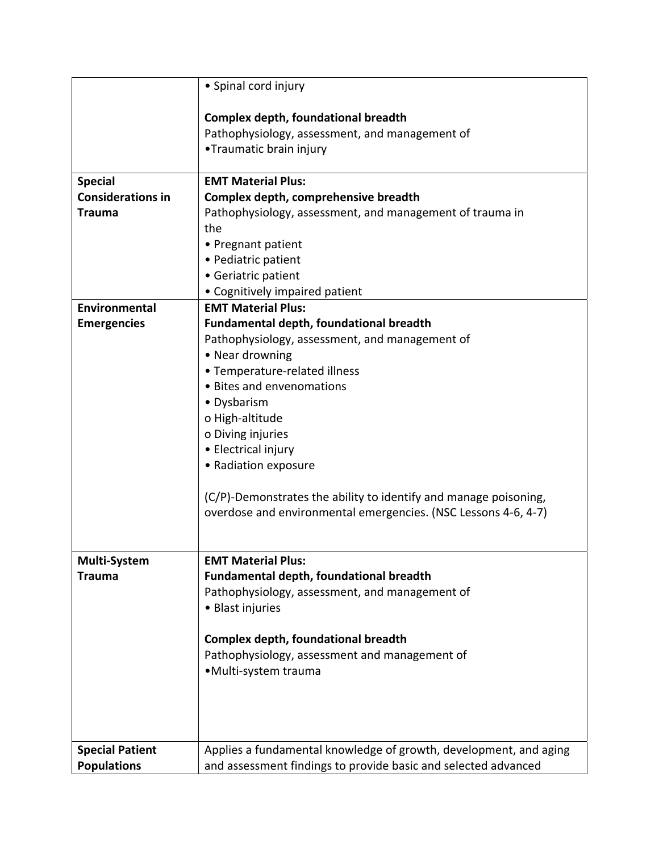|                          | • Spinal cord injury                                                      |
|--------------------------|---------------------------------------------------------------------------|
|                          |                                                                           |
|                          | Complex depth, foundational breadth                                       |
|                          | Pathophysiology, assessment, and management of<br>•Traumatic brain injury |
|                          |                                                                           |
| <b>Special</b>           | <b>EMT Material Plus:</b>                                                 |
| <b>Considerations in</b> | Complex depth, comprehensive breadth                                      |
| <b>Trauma</b>            | Pathophysiology, assessment, and management of trauma in                  |
|                          | the                                                                       |
|                          | • Pregnant patient                                                        |
|                          | • Pediatric patient                                                       |
|                          | • Geriatric patient                                                       |
|                          | • Cognitively impaired patient                                            |
| Environmental            | <b>EMT Material Plus:</b>                                                 |
| <b>Emergencies</b>       | Fundamental depth, foundational breadth                                   |
|                          | Pathophysiology, assessment, and management of                            |
|                          | • Near drowning                                                           |
|                          | • Temperature-related illness                                             |
|                          | • Bites and envenomations                                                 |
|                          | • Dysbarism                                                               |
|                          | o High-altitude                                                           |
|                          | o Diving injuries                                                         |
|                          | • Electrical injury                                                       |
|                          | • Radiation exposure                                                      |
|                          | (C/P)-Demonstrates the ability to identify and manage poisoning,          |
|                          | overdose and environmental emergencies. (NSC Lessons 4-6, 4-7)            |
|                          |                                                                           |
|                          |                                                                           |
| <b>Multi-System</b>      | <b>EMT Material Plus:</b>                                                 |
| Trauma                   | <b>Fundamental depth, foundational breadth</b>                            |
|                          | Pathophysiology, assessment, and management of                            |
|                          | • Blast injuries                                                          |
|                          | <b>Complex depth, foundational breadth</b>                                |
|                          | Pathophysiology, assessment and management of                             |
|                          | ·Multi-system trauma                                                      |
|                          |                                                                           |
|                          |                                                                           |
|                          |                                                                           |
|                          |                                                                           |
| <b>Special Patient</b>   | Applies a fundamental knowledge of growth, development, and aging         |
| <b>Populations</b>       | and assessment findings to provide basic and selected advanced            |
|                          |                                                                           |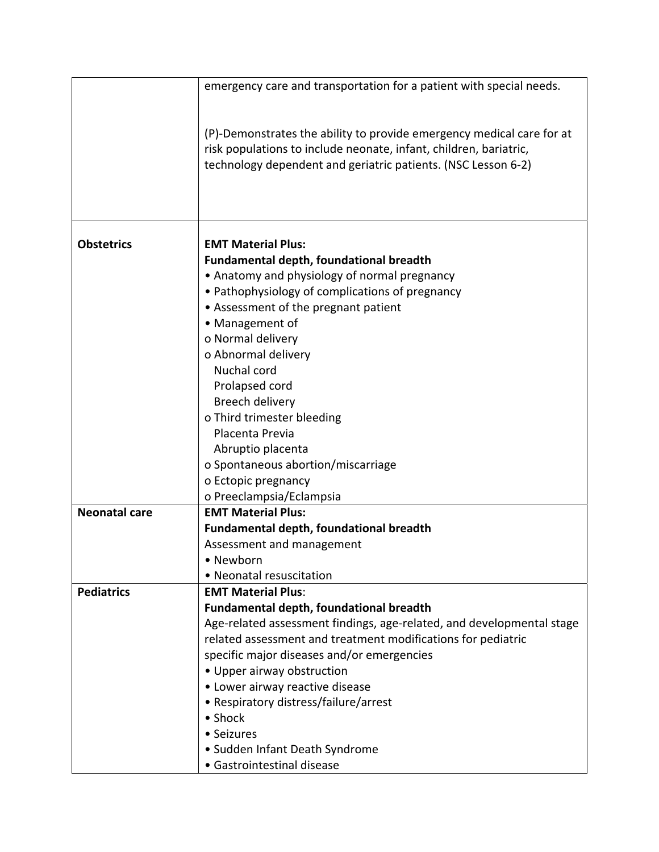|                      | emergency care and transportation for a patient with special needs.                                                                                                                                         |
|----------------------|-------------------------------------------------------------------------------------------------------------------------------------------------------------------------------------------------------------|
|                      | (P)-Demonstrates the ability to provide emergency medical care for at<br>risk populations to include neonate, infant, children, bariatric,<br>technology dependent and geriatric patients. (NSC Lesson 6-2) |
|                      |                                                                                                                                                                                                             |
| <b>Obstetrics</b>    | <b>EMT Material Plus:</b>                                                                                                                                                                                   |
|                      | <b>Fundamental depth, foundational breadth</b>                                                                                                                                                              |
|                      | • Anatomy and physiology of normal pregnancy                                                                                                                                                                |
|                      | • Pathophysiology of complications of pregnancy                                                                                                                                                             |
|                      | • Assessment of the pregnant patient<br>• Management of                                                                                                                                                     |
|                      | o Normal delivery                                                                                                                                                                                           |
|                      | o Abnormal delivery                                                                                                                                                                                         |
|                      | Nuchal cord                                                                                                                                                                                                 |
|                      | Prolapsed cord                                                                                                                                                                                              |
|                      | Breech delivery                                                                                                                                                                                             |
|                      | o Third trimester bleeding                                                                                                                                                                                  |
|                      | Placenta Previa                                                                                                                                                                                             |
|                      | Abruptio placenta                                                                                                                                                                                           |
|                      | o Spontaneous abortion/miscarriage                                                                                                                                                                          |
|                      | o Ectopic pregnancy                                                                                                                                                                                         |
|                      | o Preeclampsia/Eclampsia                                                                                                                                                                                    |
| <b>Neonatal care</b> | <b>EMT Material Plus:</b>                                                                                                                                                                                   |
|                      | Fundamental depth, foundational breadth                                                                                                                                                                     |
|                      | Assessment and management                                                                                                                                                                                   |
|                      | • Newborn                                                                                                                                                                                                   |
|                      | • Neonatal resuscitation                                                                                                                                                                                    |
| <b>Pediatrics</b>    | <b>EMT Material Plus:</b>                                                                                                                                                                                   |
|                      | <b>Fundamental depth, foundational breadth</b>                                                                                                                                                              |
|                      | Age-related assessment findings, age-related, and developmental stage                                                                                                                                       |
|                      | related assessment and treatment modifications for pediatric                                                                                                                                                |
|                      | specific major diseases and/or emergencies                                                                                                                                                                  |
|                      | • Upper airway obstruction                                                                                                                                                                                  |
|                      | • Lower airway reactive disease                                                                                                                                                                             |
|                      | • Respiratory distress/failure/arrest<br>• Shock                                                                                                                                                            |
|                      | • Seizures                                                                                                                                                                                                  |
|                      | • Sudden Infant Death Syndrome                                                                                                                                                                              |
|                      | · Gastrointestinal disease                                                                                                                                                                                  |
|                      |                                                                                                                                                                                                             |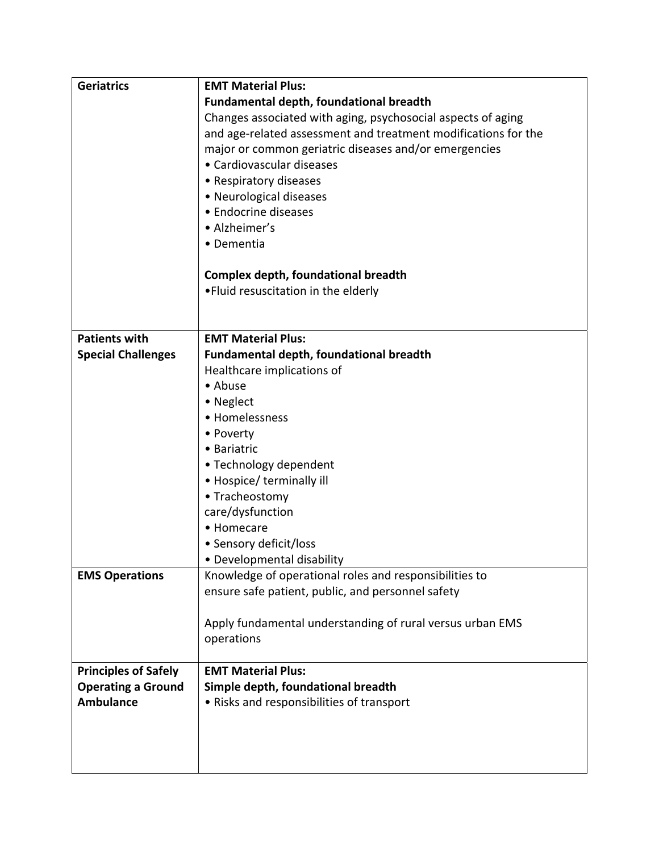| <b>Geriatrics</b>           | <b>EMT Material Plus:</b>                                      |
|-----------------------------|----------------------------------------------------------------|
|                             | <b>Fundamental depth, foundational breadth</b>                 |
|                             | Changes associated with aging, psychosocial aspects of aging   |
|                             | and age-related assessment and treatment modifications for the |
|                             | major or common geriatric diseases and/or emergencies          |
|                             | • Cardiovascular diseases                                      |
|                             | • Respiratory diseases                                         |
|                             | • Neurological diseases                                        |
|                             | • Endocrine diseases                                           |
|                             | • Alzheimer's                                                  |
|                             | • Dementia                                                     |
|                             |                                                                |
|                             | Complex depth, foundational breadth                            |
|                             | . Fluid resuscitation in the elderly                           |
|                             |                                                                |
|                             |                                                                |
| <b>Patients with</b>        | <b>EMT Material Plus:</b>                                      |
| <b>Special Challenges</b>   | Fundamental depth, foundational breadth                        |
|                             | Healthcare implications of                                     |
|                             | • Abuse                                                        |
|                             | • Neglect                                                      |
|                             | • Homelessness                                                 |
|                             | • Poverty                                                      |
|                             | • Bariatric                                                    |
|                             | • Technology dependent                                         |
|                             | • Hospice/ terminally ill                                      |
|                             | • Tracheostomy                                                 |
|                             | care/dysfunction                                               |
|                             | • Homecare                                                     |
|                             | • Sensory deficit/loss                                         |
|                             | • Developmental disability                                     |
| <b>EMS Operations</b>       | Knowledge of operational roles and responsibilities to         |
|                             | ensure safe patient, public, and personnel safety              |
|                             |                                                                |
|                             | Apply fundamental understanding of rural versus urban EMS      |
|                             | operations                                                     |
|                             |                                                                |
| <b>Principles of Safely</b> | <b>EMT Material Plus:</b>                                      |
| <b>Operating a Ground</b>   | Simple depth, foundational breadth                             |
| <b>Ambulance</b>            | • Risks and responsibilities of transport                      |
|                             |                                                                |
|                             |                                                                |
|                             |                                                                |
|                             |                                                                |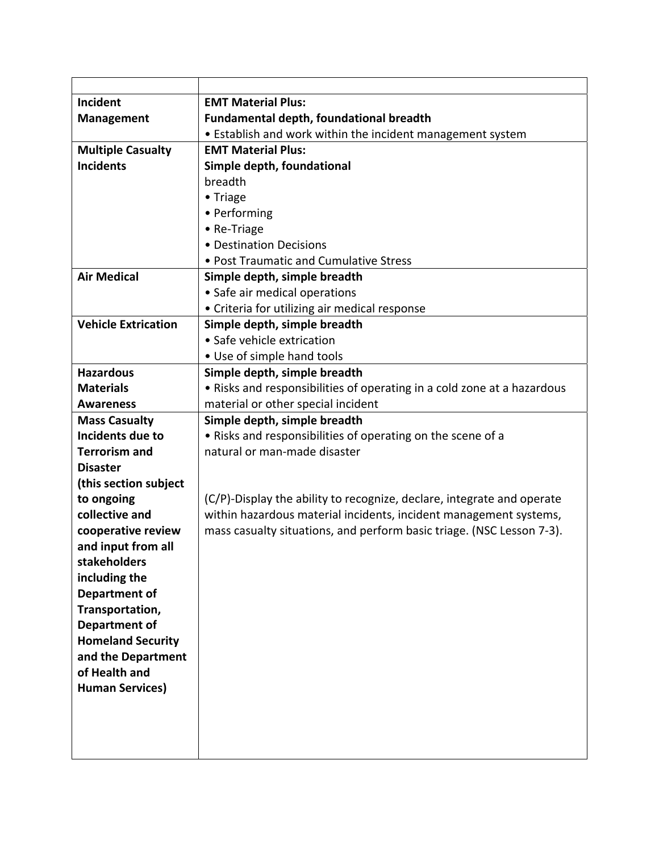| Incident                                         | <b>EMT Material Plus:</b>                                               |
|--------------------------------------------------|-------------------------------------------------------------------------|
| <b>Management</b>                                | Fundamental depth, foundational breadth                                 |
|                                                  | • Establish and work within the incident management system              |
| <b>Multiple Casualty</b>                         | <b>EMT Material Plus:</b>                                               |
| <b>Incidents</b>                                 | Simple depth, foundational                                              |
|                                                  | breadth                                                                 |
|                                                  | • Triage                                                                |
|                                                  | • Performing                                                            |
|                                                  | • Re-Triage                                                             |
|                                                  | • Destination Decisions                                                 |
|                                                  | • Post Traumatic and Cumulative Stress                                  |
| <b>Air Medical</b>                               | Simple depth, simple breadth                                            |
|                                                  | • Safe air medical operations                                           |
|                                                  | • Criteria for utilizing air medical response                           |
| <b>Vehicle Extrication</b>                       | Simple depth, simple breadth                                            |
|                                                  | • Safe vehicle extrication                                              |
|                                                  | • Use of simple hand tools                                              |
| <b>Hazardous</b>                                 | Simple depth, simple breadth                                            |
| <b>Materials</b>                                 | • Risks and responsibilities of operating in a cold zone at a hazardous |
| <b>Awareness</b>                                 | material or other special incident                                      |
| <b>Mass Casualty</b>                             | Simple depth, simple breadth                                            |
| Incidents due to                                 | • Risks and responsibilities of operating on the scene of a             |
| <b>Terrorism and</b>                             | natural or man-made disaster                                            |
| <b>Disaster</b>                                  |                                                                         |
| (this section subject                            |                                                                         |
| to ongoing                                       | (C/P)-Display the ability to recognize, declare, integrate and operate  |
| collective and                                   | within hazardous material incidents, incident management systems,       |
| cooperative review                               | mass casualty situations, and perform basic triage. (NSC Lesson 7-3).   |
| and input from all                               |                                                                         |
| <b>stakeholders</b>                              |                                                                         |
| including the                                    |                                                                         |
| Department of                                    |                                                                         |
| Transportation,                                  |                                                                         |
| <b>Department of</b><br><b>Homeland Security</b> |                                                                         |
| and the Department                               |                                                                         |
| of Health and                                    |                                                                         |
| <b>Human Services)</b>                           |                                                                         |
|                                                  |                                                                         |
|                                                  |                                                                         |
|                                                  |                                                                         |
|                                                  |                                                                         |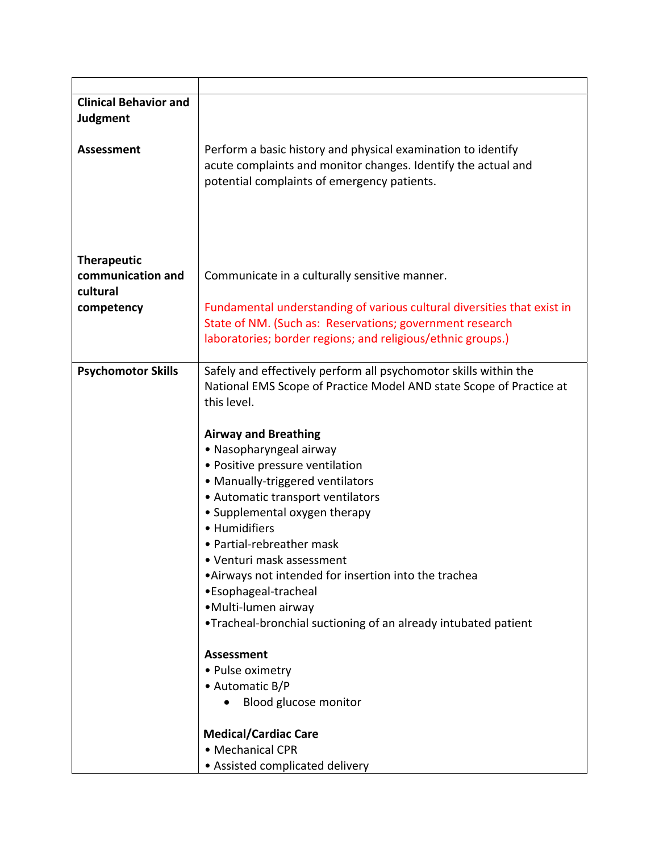| <b>Clinical Behavior and</b><br><b>Judgment</b>                   |                                                                                                                                                                                                                                                                                                                                                                                                                                                                                                                                                                                                                                                                                                        |
|-------------------------------------------------------------------|--------------------------------------------------------------------------------------------------------------------------------------------------------------------------------------------------------------------------------------------------------------------------------------------------------------------------------------------------------------------------------------------------------------------------------------------------------------------------------------------------------------------------------------------------------------------------------------------------------------------------------------------------------------------------------------------------------|
| <b>Assessment</b>                                                 | Perform a basic history and physical examination to identify<br>acute complaints and monitor changes. Identify the actual and<br>potential complaints of emergency patients.                                                                                                                                                                                                                                                                                                                                                                                                                                                                                                                           |
| <b>Therapeutic</b><br>communication and<br>cultural<br>competency | Communicate in a culturally sensitive manner.<br>Fundamental understanding of various cultural diversities that exist in                                                                                                                                                                                                                                                                                                                                                                                                                                                                                                                                                                               |
|                                                                   | State of NM. (Such as: Reservations; government research<br>laboratories; border regions; and religious/ethnic groups.)                                                                                                                                                                                                                                                                                                                                                                                                                                                                                                                                                                                |
| <b>Psychomotor Skills</b>                                         | Safely and effectively perform all psychomotor skills within the<br>National EMS Scope of Practice Model AND state Scope of Practice at<br>this level.<br><b>Airway and Breathing</b><br>• Nasopharyngeal airway<br>· Positive pressure ventilation<br>• Manually-triggered ventilators<br>• Automatic transport ventilators<br>• Supplemental oxygen therapy<br>• Humidifiers<br>• Partial-rebreather mask<br>Venturi mask assessment<br>•Airways not intended for insertion into the trachea<br>•Esophageal-tracheal<br>• Multi-lumen airway<br>. Tracheal-bronchial suctioning of an already intubated patient<br><b>Assessment</b><br>• Pulse oximetry<br>• Automatic B/P<br>Blood glucose monitor |
|                                                                   | <b>Medical/Cardiac Care</b><br>• Mechanical CPR<br>• Assisted complicated delivery                                                                                                                                                                                                                                                                                                                                                                                                                                                                                                                                                                                                                     |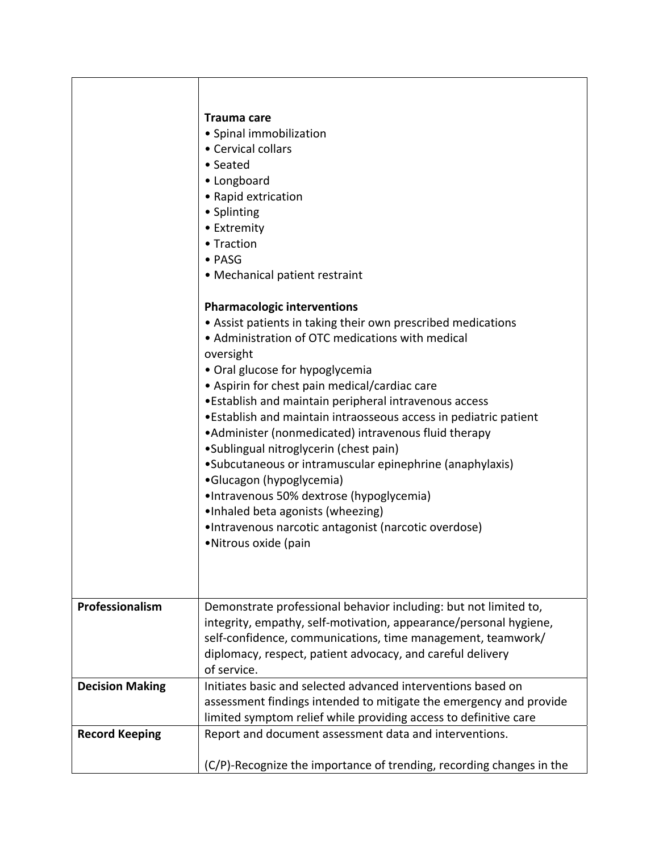|                        | Trauma care<br>· Spinal immobilization<br>• Cervical collars<br>• Seated<br>• Longboard<br>• Rapid extrication<br>• Splinting<br>• Extremity<br>• Traction<br>• PASG<br>• Mechanical patient restraint<br><b>Pharmacologic interventions</b><br>• Assist patients in taking their own prescribed medications<br>• Administration of OTC medications with medical<br>oversight<br>• Oral glucose for hypoglycemia<br>• Aspirin for chest pain medical/cardiac care<br>. Establish and maintain peripheral intravenous access<br>•Establish and maintain intraosseous access in pediatric patient<br>•Administer (nonmedicated) intravenous fluid therapy<br>•Sublingual nitroglycerin (chest pain)<br>•Subcutaneous or intramuscular epinephrine (anaphylaxis)<br>•Glucagon (hypoglycemia)<br>•Intravenous 50% dextrose (hypoglycemia)<br>•Inhaled beta agonists (wheezing)<br>•Intravenous narcotic antagonist (narcotic overdose)<br>•Nitrous oxide (pain |
|------------------------|------------------------------------------------------------------------------------------------------------------------------------------------------------------------------------------------------------------------------------------------------------------------------------------------------------------------------------------------------------------------------------------------------------------------------------------------------------------------------------------------------------------------------------------------------------------------------------------------------------------------------------------------------------------------------------------------------------------------------------------------------------------------------------------------------------------------------------------------------------------------------------------------------------------------------------------------------------|
| Professionalism        | Demonstrate professional behavior including: but not limited to,<br>integrity, empathy, self-motivation, appearance/personal hygiene,<br>self-confidence, communications, time management, teamwork/<br>diplomacy, respect, patient advocacy, and careful delivery<br>of service.                                                                                                                                                                                                                                                                                                                                                                                                                                                                                                                                                                                                                                                                          |
| <b>Decision Making</b> | Initiates basic and selected advanced interventions based on<br>assessment findings intended to mitigate the emergency and provide                                                                                                                                                                                                                                                                                                                                                                                                                                                                                                                                                                                                                                                                                                                                                                                                                         |
|                        | limited symptom relief while providing access to definitive care                                                                                                                                                                                                                                                                                                                                                                                                                                                                                                                                                                                                                                                                                                                                                                                                                                                                                           |
| <b>Record Keeping</b>  | Report and document assessment data and interventions.                                                                                                                                                                                                                                                                                                                                                                                                                                                                                                                                                                                                                                                                                                                                                                                                                                                                                                     |
|                        | (C/P)-Recognize the importance of trending, recording changes in the                                                                                                                                                                                                                                                                                                                                                                                                                                                                                                                                                                                                                                                                                                                                                                                                                                                                                       |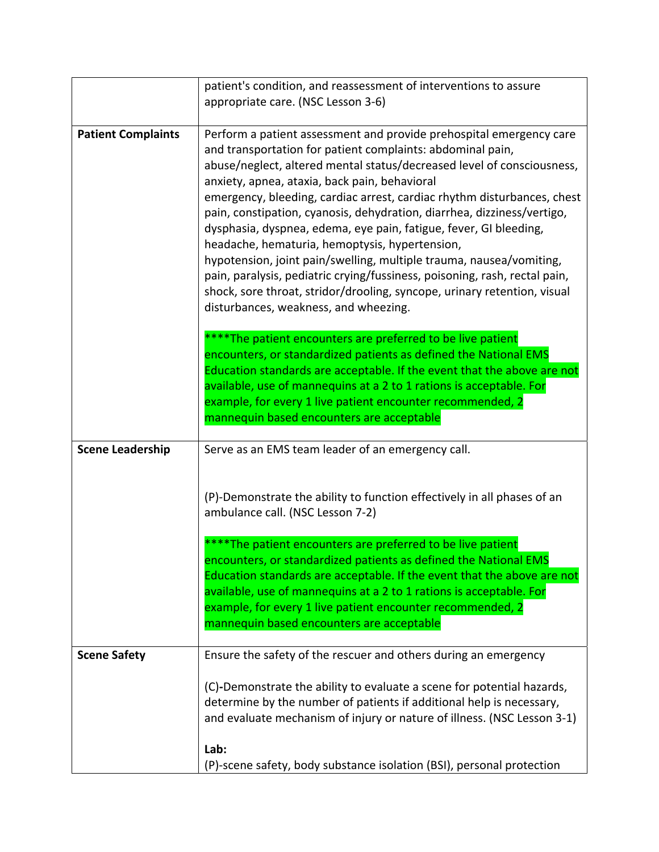|                           | patient's condition, and reassessment of interventions to assure                                                                                                                                                                                                                                                                                                                                                                                                                                                                                                                                                                                                                                                                                                                                                    |
|---------------------------|---------------------------------------------------------------------------------------------------------------------------------------------------------------------------------------------------------------------------------------------------------------------------------------------------------------------------------------------------------------------------------------------------------------------------------------------------------------------------------------------------------------------------------------------------------------------------------------------------------------------------------------------------------------------------------------------------------------------------------------------------------------------------------------------------------------------|
|                           | appropriate care. (NSC Lesson 3-6)                                                                                                                                                                                                                                                                                                                                                                                                                                                                                                                                                                                                                                                                                                                                                                                  |
| <b>Patient Complaints</b> | Perform a patient assessment and provide prehospital emergency care<br>and transportation for patient complaints: abdominal pain,<br>abuse/neglect, altered mental status/decreased level of consciousness,<br>anxiety, apnea, ataxia, back pain, behavioral<br>emergency, bleeding, cardiac arrest, cardiac rhythm disturbances, chest<br>pain, constipation, cyanosis, dehydration, diarrhea, dizziness/vertigo,<br>dysphasia, dyspnea, edema, eye pain, fatigue, fever, GI bleeding,<br>headache, hematuria, hemoptysis, hypertension,<br>hypotension, joint pain/swelling, multiple trauma, nausea/vomiting,<br>pain, paralysis, pediatric crying/fussiness, poisoning, rash, rectal pain,<br>shock, sore throat, stridor/drooling, syncope, urinary retention, visual<br>disturbances, weakness, and wheezing. |
|                           | ***The patient encounters are preferred to be live patient<br>encounters, or standardized patients as defined the National EMS<br>Education standards are acceptable. If the event that the above are not<br>available, use of mannequins at a 2 to 1 rations is acceptable. For<br>example, for every 1 live patient encounter recommended, 2<br>mannequin based encounters are acceptable                                                                                                                                                                                                                                                                                                                                                                                                                         |
| <b>Scene Leadership</b>   | Serve as an EMS team leader of an emergency call.                                                                                                                                                                                                                                                                                                                                                                                                                                                                                                                                                                                                                                                                                                                                                                   |
|                           | (P)-Demonstrate the ability to function effectively in all phases of an<br>ambulance call. (NSC Lesson 7-2)<br>** The patient encounters are preferred to be live patient<br>encounters, or standardized patients as defined the National EMS<br>Education standards are acceptable. If the event that the above are not<br>available, use of mannequins at a 2 to 1 rations is acceptable. For                                                                                                                                                                                                                                                                                                                                                                                                                     |
|                           | example, for every 1 live patient encounter recommended, 2<br>mannequin based encounters are acceptable                                                                                                                                                                                                                                                                                                                                                                                                                                                                                                                                                                                                                                                                                                             |
|                           |                                                                                                                                                                                                                                                                                                                                                                                                                                                                                                                                                                                                                                                                                                                                                                                                                     |
| <b>Scene Safety</b>       | Ensure the safety of the rescuer and others during an emergency                                                                                                                                                                                                                                                                                                                                                                                                                                                                                                                                                                                                                                                                                                                                                     |
|                           | (C)-Demonstrate the ability to evaluate a scene for potential hazards,<br>determine by the number of patients if additional help is necessary,<br>and evaluate mechanism of injury or nature of illness. (NSC Lesson 3-1)                                                                                                                                                                                                                                                                                                                                                                                                                                                                                                                                                                                           |
|                           | Lab:<br>(P)-scene safety, body substance isolation (BSI), personal protection                                                                                                                                                                                                                                                                                                                                                                                                                                                                                                                                                                                                                                                                                                                                       |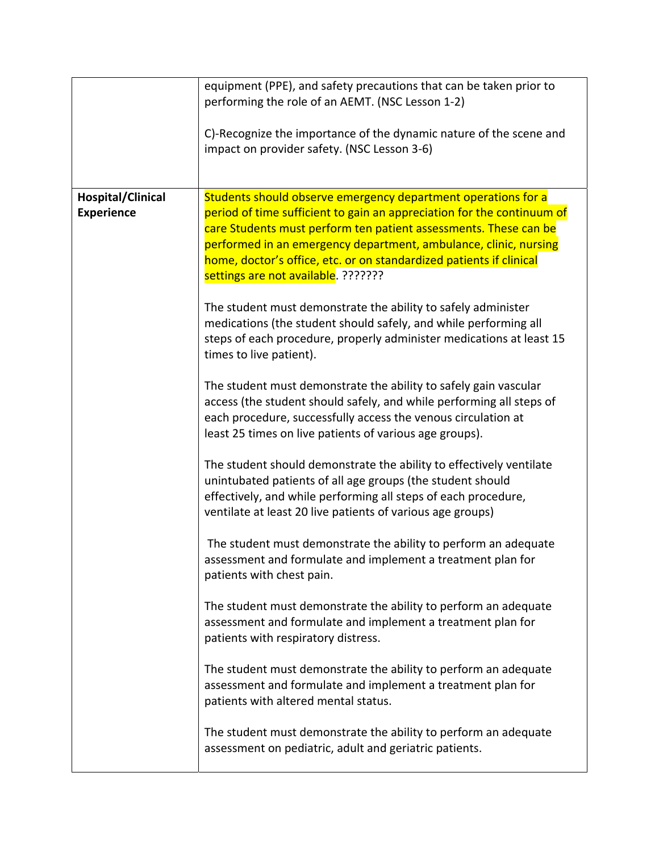|                                               | equipment (PPE), and safety precautions that can be taken prior to<br>performing the role of an AEMT. (NSC Lesson 1-2)                                                                                                                                                                                                                                                                        |
|-----------------------------------------------|-----------------------------------------------------------------------------------------------------------------------------------------------------------------------------------------------------------------------------------------------------------------------------------------------------------------------------------------------------------------------------------------------|
|                                               | C)-Recognize the importance of the dynamic nature of the scene and<br>impact on provider safety. (NSC Lesson 3-6)                                                                                                                                                                                                                                                                             |
| <b>Hospital/Clinical</b><br><b>Experience</b> | Students should observe emergency department operations for a<br>period of time sufficient to gain an appreciation for the continuum of<br>care Students must perform ten patient assessments. These can be<br>performed in an emergency department, ambulance, clinic, nursing<br>home, doctor's office, etc. or on standardized patients if clinical<br>settings are not available. ??????? |
|                                               | The student must demonstrate the ability to safely administer<br>medications (the student should safely, and while performing all<br>steps of each procedure, properly administer medications at least 15<br>times to live patient).                                                                                                                                                          |
|                                               | The student must demonstrate the ability to safely gain vascular<br>access (the student should safely, and while performing all steps of<br>each procedure, successfully access the venous circulation at<br>least 25 times on live patients of various age groups).                                                                                                                          |
|                                               | The student should demonstrate the ability to effectively ventilate<br>unintubated patients of all age groups (the student should<br>effectively, and while performing all steps of each procedure,<br>ventilate at least 20 live patients of various age groups)                                                                                                                             |
|                                               | The student must demonstrate the ability to perform an adequate<br>assessment and formulate and implement a treatment plan for<br>patients with chest pain.                                                                                                                                                                                                                                   |
|                                               | The student must demonstrate the ability to perform an adequate<br>assessment and formulate and implement a treatment plan for<br>patients with respiratory distress.                                                                                                                                                                                                                         |
|                                               | The student must demonstrate the ability to perform an adequate<br>assessment and formulate and implement a treatment plan for<br>patients with altered mental status.                                                                                                                                                                                                                        |
|                                               | The student must demonstrate the ability to perform an adequate<br>assessment on pediatric, adult and geriatric patients.                                                                                                                                                                                                                                                                     |